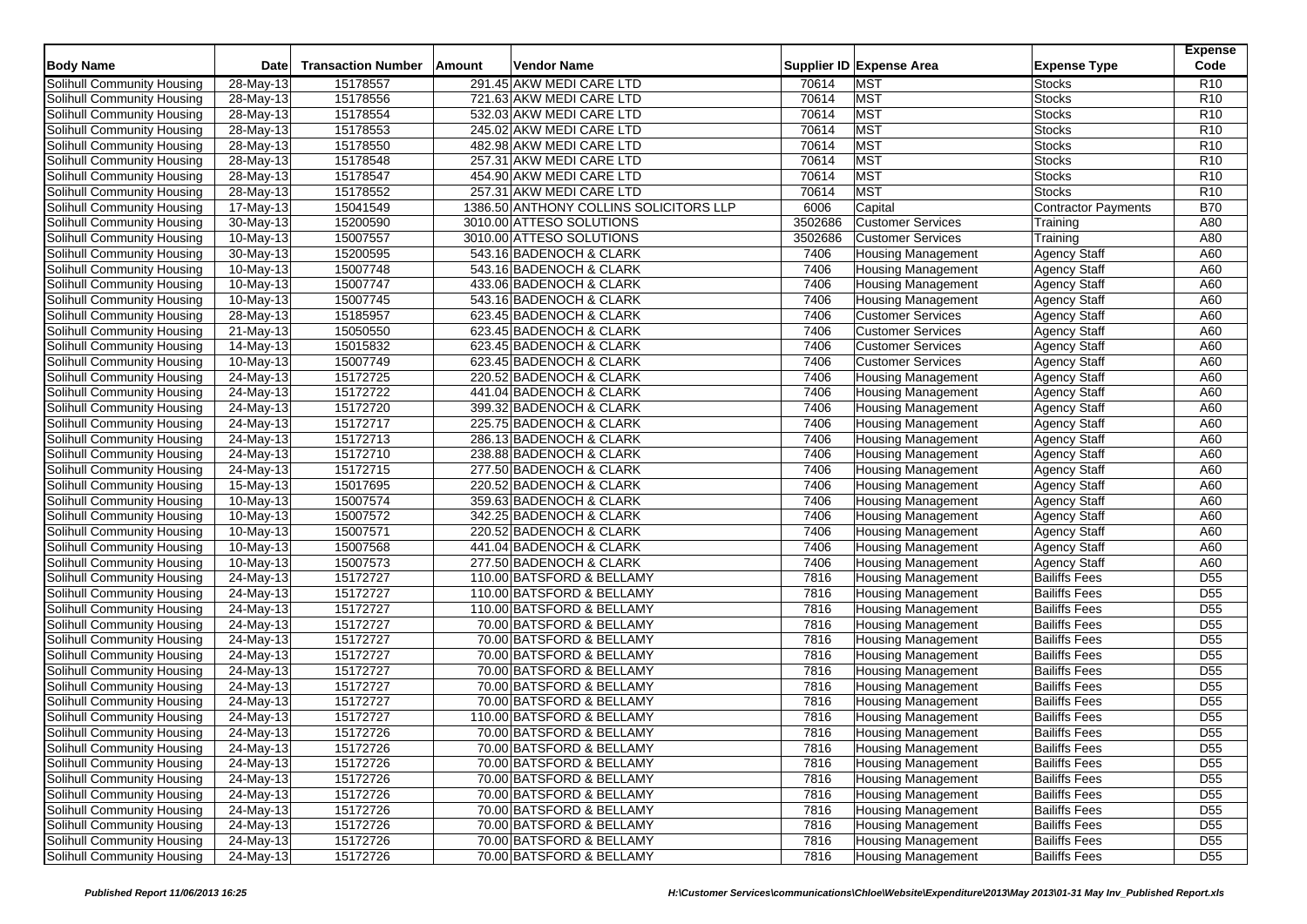| <b>Body Name</b>                  | Date                    | <b>Transaction Number</b> | Amount | <b>Vendor Name</b>                     | Supplier ID Expense Area            | <b>Expense Type</b>  | <b>Expense</b><br>Code |
|-----------------------------------|-------------------------|---------------------------|--------|----------------------------------------|-------------------------------------|----------------------|------------------------|
| Solihull Community Housing        | 28-May-13               | 15178557                  |        | 291.45 AKW MEDI CARE LTD               | <b>MST</b><br>70614                 | <b>Stocks</b>        | R10                    |
| Solihull Community Housing        | 28-May-13               | 15178556                  |        | 721.63 AKW MEDI CARE LTD               | <b>MST</b><br>70614                 | <b>Stocks</b>        | R <sub>10</sub>        |
| Solihull Community Housing        | 28-May-13               | 15178554                  |        | 532.03 AKW MEDI CARE LTD               | <b>MST</b><br>70614                 | <b>Stocks</b>        | R <sub>10</sub>        |
| Solihull Community Housing        | 28-May-13               | 15178553                  |        | 245.02 AKW MEDI CARE LTD               | 70614<br><b>MST</b>                 | <b>Stocks</b>        | R <sub>10</sub>        |
| Solihull Community Housing        | 28-May-13               | 15178550                  |        | 482.98 AKW MEDI CARE LTD               | <b>MST</b><br>70614                 | Stocks               | R <sub>10</sub>        |
| Solihull Community Housing        | 28-May-13               | 15178548                  |        | 257.31 AKW MEDI CARE LTD               | 70614<br><b>MST</b>                 | <b>Stocks</b>        | R <sub>10</sub>        |
| Solihull Community Housing        | 28-May-13               | 15178547                  |        | 454.90 AKW MEDI CARE LTD               | <b>MST</b><br>70614                 | <b>Stocks</b>        | R <sub>10</sub>        |
| Solihull Community Housing        | 28-May-13               | 15178552                  |        | 257.31 AKW MEDI CARE LTD               | <b>MST</b><br>70614                 | <b>Stocks</b>        | R <sub>10</sub>        |
| Solihull Community Housing        | 17-May-13               | 15041549                  |        | 1386.50 ANTHONY COLLINS SOLICITORS LLP | 6006<br>Capital                     | Contractor Payments  | <b>B70</b>             |
| Solihull Community Housing        | $\overline{30}$ -May-13 | 15200590                  |        | 3010.00 ATTESO SOLUTIONS               | 3502686<br><b>Customer Services</b> | Training             | A80                    |
| Solihull Community Housing        | 10-May-13               | 15007557                  |        | 3010.00 ATTESO SOLUTIONS               | 3502686<br><b>Customer Services</b> | Training             | A80                    |
| Solihull Community Housing        | 30-May-13               | 15200595                  |        | 543.16 BADENOCH & CLARK                | 7406<br><b>Housing Management</b>   | <b>Agency Staff</b>  | A60                    |
| Solihull Community Housing        | 10-May-13               | 15007748                  |        | 543.16 BADENOCH & CLARK                | 7406<br><b>Housing Management</b>   | <b>Agency Staff</b>  | A60                    |
| Solihull Community Housing        | 10-May-13               | 15007747                  |        | 433.06 BADENOCH & CLARK                | 7406<br><b>Housing Management</b>   | <b>Agency Staff</b>  | A60                    |
| Solihull Community Housing        | 10-May-13               | 15007745                  |        | 543.16 BADENOCH & CLARK                | 7406<br><b>Housing Management</b>   | <b>Agency Staff</b>  | A60                    |
| Solihull Community Housing        | 28-May-13               | 15185957                  |        | 623.45 BADENOCH & CLARK                | 7406<br><b>Customer Services</b>    | <b>Agency Staff</b>  | A60                    |
| Solihull Community Housing        | 21-May-13               | 15050550                  |        | 623.45 BADENOCH & CLARK                | 7406<br><b>Customer Services</b>    | <b>Agency Staff</b>  | A60                    |
| Solihull Community Housing        | 14-May-13               | 15015832                  |        | 623.45 BADENOCH & CLARK                | 7406<br><b>Customer Services</b>    | <b>Agency Staff</b>  | A60                    |
| Solihull Community Housing        | 10-May-13               | 15007749                  |        | 623.45 BADENOCH & CLARK                | 7406<br><b>Customer Services</b>    | <b>Agency Staff</b>  | A60                    |
| Solihull Community Housing        | 24-May-13               | 15172725                  |        | 220.52 BADENOCH & CLARK                | 7406<br><b>Housing Management</b>   | <b>Agency Staff</b>  | A60                    |
| Solihull Community Housing        | 24-May-13               | 15172722                  |        | 441.04 BADENOCH & CLARK                | 7406<br><b>Housing Management</b>   | <b>Agency Staff</b>  | A60                    |
| Solihull Community Housing        | 24-May-13               | 15172720                  |        | 399.32 BADENOCH & CLARK                | 7406<br><b>Housing Management</b>   | Agency Staff         | A60                    |
| Solihull Community Housing        | 24-May-13               | 15172717                  |        | 225.75 BADENOCH & CLARK                | 7406<br><b>Housing Management</b>   | <b>Agency Staff</b>  | A60                    |
| Solihull Community Housing        | $\overline{24}$ -May-13 | 15172713                  |        | 286.13 BADENOCH & CLARK                | 7406<br><b>Housing Management</b>   | <b>Agency Staff</b>  | A60                    |
| Solihull Community Housing        | 24-May-13               | 15172710                  |        | 238.88 BADENOCH & CLARK                | 7406<br><b>Housing Management</b>   | <b>Agency Staff</b>  | A60                    |
| Solihull Community Housing        | 24-May-13               | 15172715                  |        | 277.50 BADENOCH & CLARK                | 7406<br><b>Housing Management</b>   | Agency Staff         | A60                    |
| Solihull Community Housing        | $\overline{15}$ -May-13 | 15017695                  |        | 220.52 BADENOCH & CLARK                | 7406<br><b>Housing Management</b>   | <b>Agency Staff</b>  | A60                    |
| Solihull Community Housing        | 10-May-13               | 15007574                  |        | 359.63 BADENOCH & CLARK                | 7406<br><b>Housing Management</b>   | <b>Agency Staff</b>  | A60                    |
| Solihull Community Housing        | 10-May-13               | 15007572                  |        | 342.25 BADENOCH & CLARK                | 7406<br><b>Housing Management</b>   | <b>Agency Staff</b>  | A60                    |
| Solihull Community Housing        | $\overline{10}$ -May-13 | 15007571                  |        | 220.52 BADENOCH & CLARK                | 7406<br><b>Housing Management</b>   | <b>Agency Staff</b>  | A60                    |
| Solihull Community Housing        | 10-May-13               | 15007568                  |        | 441.04 BADENOCH & CLARK                | 7406<br><b>Housing Management</b>   | <b>Agency Staff</b>  | A60                    |
| Solihull Community Housing        | 10-May-13               | 15007573                  |        | 277.50 BADENOCH & CLARK                | 7406<br><b>Housing Management</b>   | <b>Agency Staff</b>  | A60                    |
| Solihull Community Housing        | 24-May-13               | 15172727                  |        | 110.00 BATSFORD & BELLAMY              | 7816<br><b>Housing Management</b>   | <b>Bailiffs Fees</b> | D <sub>55</sub>        |
| Solihull Community Housing        | 24-May-13               | 15172727                  |        | 110.00 BATSFORD & BELLAMY              | 7816<br><b>Housing Management</b>   | <b>Bailiffs Fees</b> | D <sub>55</sub>        |
| Solihull Community Housing        | 24-May-13               | 15172727                  |        | 110.00 BATSFORD & BELLAMY              | 7816<br><b>Housing Management</b>   | <b>Bailiffs Fees</b> | D <sub>55</sub>        |
| Solihull Community Housing        | 24-May-13               | 15172727                  |        | 70.00 BATSFORD & BELLAMY               | 7816<br><b>Housing Management</b>   | <b>Bailiffs Fees</b> | D <sub>55</sub>        |
| Solihull Community Housing        | 24-May-13               | 15172727                  |        | 70.00 BATSFORD & BELLAMY               | 7816<br><b>Housing Management</b>   | <b>Bailiffs Fees</b> | D <sub>55</sub>        |
| Solihull Community Housing        | 24-May-13               | 15172727                  |        | 70.00 BATSFORD & BELLAMY               | 7816<br><b>Housing Management</b>   | <b>Bailiffs Fees</b> | D <sub>55</sub>        |
| Solihull Community Housing        | 24-May-13               | 15172727                  |        | 70.00 BATSFORD & BELLAMY               | 7816<br><b>Housing Management</b>   | <b>Bailiffs Fees</b> | D <sub>55</sub>        |
| Solihull Community Housing        | 24-May-13               | 15172727                  |        | 70.00 BATSFORD & BELLAMY               | 7816<br><b>Housing Management</b>   | <b>Bailiffs Fees</b> | D <sub>55</sub>        |
| Solihull Community Housing        | 24-May-13               | 15172727                  |        | 70.00 BATSFORD & BELLAMY               | 7816<br><b>Housing Management</b>   | <b>Bailiffs Fees</b> | D <sub>55</sub>        |
| Solihull Community Housing        | 24-May-13               | 15172727                  |        | 110.00 BATSFORD & BELLAMY              | 7816<br><b>Housing Management</b>   | <b>Bailiffs Fees</b> | D <sub>55</sub>        |
| Solihull Community Housing        | 24-May-13               | 15172726                  |        | 70.00 BATSFORD & BELLAMY               | 7816<br><b>Housing Management</b>   | <b>Bailiffs Fees</b> | D <sub>55</sub>        |
| Solihull Community Housing        | 24-May-13               | 15172726                  |        | 70.00 BATSFORD & BELLAMY               | <b>Housing Management</b><br>7816   | <b>Bailiffs Fees</b> | D <sub>55</sub>        |
| Solihull Community Housing        | 24-May-13               | 15172726                  |        | 70.00 BATSFORD & BELLAMY               | <b>Housing Management</b><br>7816   | <b>Bailiffs Fees</b> | D <sub>55</sub>        |
| Solihull Community Housing        | 24-May-13               | 15172726                  |        | 70.00 BATSFORD & BELLAMY               | 7816<br><b>Housing Management</b>   | <b>Bailiffs Fees</b> | D <sub>55</sub>        |
| Solihull Community Housing        | 24-May-13               | 15172726                  |        | 70.00 BATSFORD & BELLAMY               | 7816<br><b>Housing Management</b>   | <b>Bailiffs Fees</b> | D <sub>55</sub>        |
| Solihull Community Housing        | 24-May-13               | 15172726                  |        | 70.00 BATSFORD & BELLAMY               | <b>Housing Management</b><br>7816   | <b>Bailiffs Fees</b> | D <sub>55</sub>        |
| Solihull Community Housing        | 24-May-13               | 15172726                  |        | 70.00 BATSFORD & BELLAMY               | 7816<br><b>Housing Management</b>   | <b>Bailiffs Fees</b> | D <sub>55</sub>        |
| <b>Solihull Community Housing</b> | 24-May-13               | 15172726                  |        | 70.00 BATSFORD & BELLAMY               | 7816<br><b>Housing Management</b>   | <b>Bailiffs Fees</b> | D <sub>55</sub>        |
| Solihull Community Housing        | 24-May-13               | 15172726                  |        | 70.00 BATSFORD & BELLAMY               | 7816<br><b>Housing Management</b>   | <b>Bailiffs Fees</b> | D <sub>55</sub>        |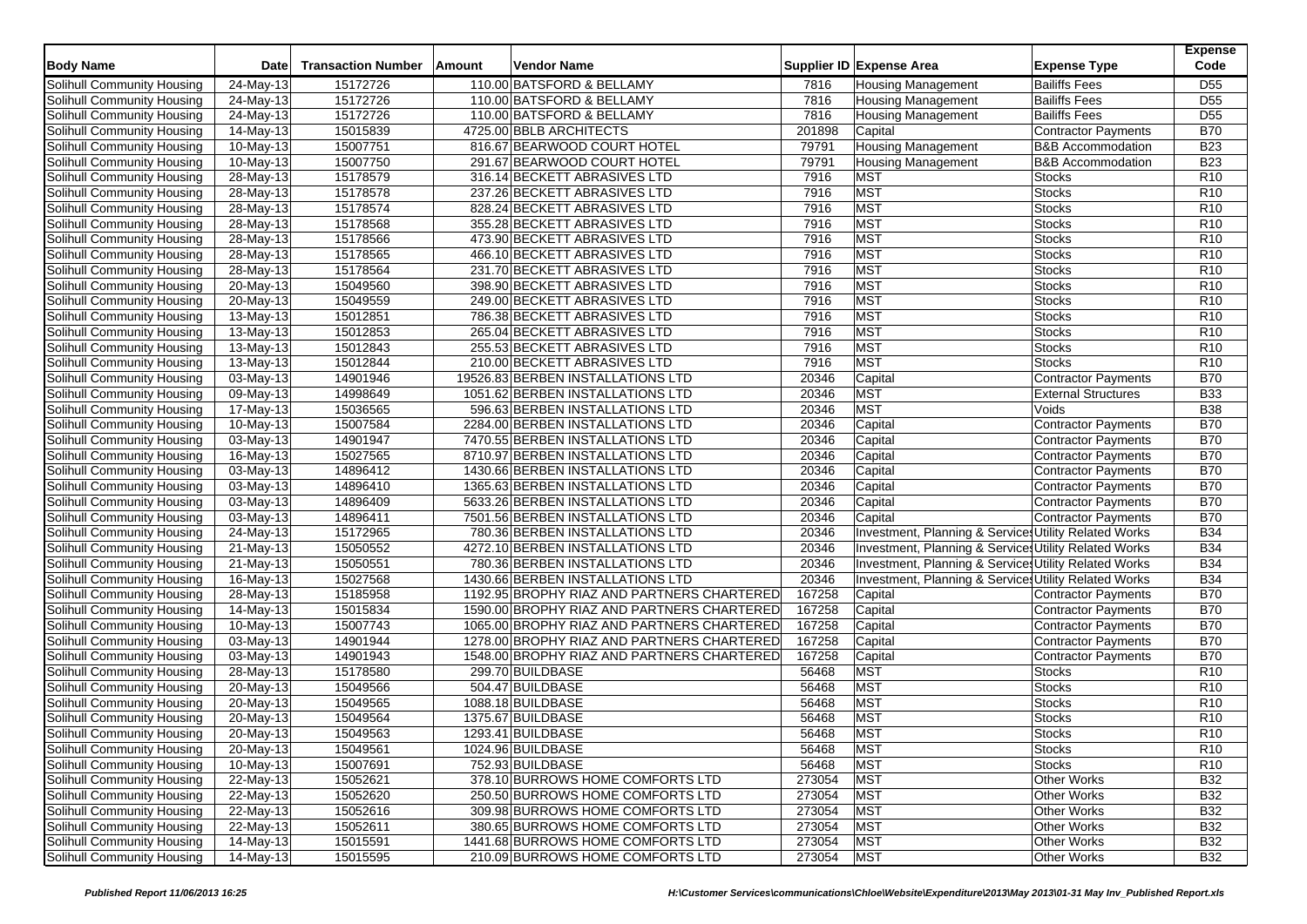| <b>Body Name</b>           | <b>Date</b>  | <b>Transaction Number</b> | Amount | <b>Vendor Name</b>                         |        | Supplier ID Expense Area                              | <b>Expense Type</b>          | <b>Expense</b><br>Code |
|----------------------------|--------------|---------------------------|--------|--------------------------------------------|--------|-------------------------------------------------------|------------------------------|------------------------|
| Solihull Community Housing | 24-May-13    | 15172726                  |        | 110.00 BATSFORD & BELLAMY                  | 7816   | <b>Housing Management</b>                             | <b>Bailiffs Fees</b>         | D <sub>55</sub>        |
| Solihull Community Housing | 24-May-13    | 15172726                  |        | 110.00 BATSFORD & BELLAMY                  | 7816   | <b>Housing Management</b>                             | <b>Bailiffs Fees</b>         | D <sub>55</sub>        |
| Solihull Community Housing | 24-May-13    | 15172726                  |        | 110.00 BATSFORD & BELLAMY                  | 7816   | <b>Housing Management</b>                             | <b>Bailiffs Fees</b>         | D <sub>55</sub>        |
| Solihull Community Housing | 14-May-13    | 15015839                  |        | 4725.00 BBLB ARCHITECTS                    | 201898 | Capital                                               | Contractor Payments          | <b>B70</b>             |
| Solihull Community Housing | $10$ -May-13 | 15007751                  |        | 816.67 BEARWOOD COURT HOTEL                | 79791  | <b>Housing Management</b>                             | <b>B&amp;B Accommodation</b> | <b>B23</b>             |
| Solihull Community Housing | 10-May-13    | 15007750                  |        | 291.67 BEARWOOD COURT HOTEL                | 79791  | <b>Housing Management</b>                             | <b>B&amp;B Accommodation</b> | <b>B23</b>             |
| Solihull Community Housing | 28-May-13    | 15178579                  |        | 316.14 BECKETT ABRASIVES LTD               | 7916   | <b>MST</b>                                            | <b>Stocks</b>                | R <sub>10</sub>        |
| Solihull Community Housing | 28-May-13    | 15178578                  |        | 237.26 BECKETT ABRASIVES LTD               | 7916   | <b>MST</b>                                            | <b>Stocks</b>                | R <sub>10</sub>        |
| Solihull Community Housing | 28-May-13    | 15178574                  |        | 828.24 BECKETT ABRASIVES LTD               | 7916   | <b>MST</b>                                            | <b>Stocks</b>                | R <sub>10</sub>        |
| Solihull Community Housing | 28-May-13    | 15178568                  |        | 355.28 BECKETT ABRASIVES LTD               | 7916   | <b>MST</b>                                            | <b>Stocks</b>                | R <sub>10</sub>        |
| Solihull Community Housing | 28-May-13    | 15178566                  |        | 473.90 BECKETT ABRASIVES LTD               | 7916   | <b>MST</b>                                            | <b>Stocks</b>                | R <sub>10</sub>        |
| Solihull Community Housing | 28-May-13    | 15178565                  |        | 466.10 BECKETT ABRASIVES LTD               | 7916   | <b>MST</b>                                            | <b>Stocks</b>                | R <sub>10</sub>        |
| Solihull Community Housing | 28-May-13    | 15178564                  |        | 231.70 BECKETT ABRASIVES LTD               | 7916   | MST                                                   | <b>Stocks</b>                | R <sub>10</sub>        |
| Solihull Community Housing | 20-May-13    | 15049560                  |        | 398.90 BECKETT ABRASIVES LTD               | 7916   | <b>MST</b>                                            | <b>Stocks</b>                | R <sub>10</sub>        |
| Solihull Community Housing | 20-May-13    | 15049559                  |        | 249.00 BECKETT ABRASIVES LTD               | 7916   | <b>MST</b>                                            | <b>Stocks</b>                | R <sub>10</sub>        |
| Solihull Community Housing | 13-May-13    | 15012851                  |        | 786.38 BECKETT ABRASIVES LTD               | 7916   | <b>MST</b>                                            | <b>Stocks</b>                | R <sub>10</sub>        |
| Solihull Community Housing | 13-May-13    | 15012853                  |        | 265.04 BECKETT ABRASIVES LTD               | 7916   | <b>MST</b>                                            | <b>Stocks</b>                | R <sub>10</sub>        |
| Solihull Community Housing | 13-May-13    | 15012843                  |        | 255.53 BECKETT ABRASIVES LTD               | 7916   | <b>MST</b>                                            | <b>Stocks</b>                | R <sub>10</sub>        |
| Solihull Community Housing | 13-May-13    | 15012844                  |        | 210.00 BECKETT ABRASIVES LTD               | 7916   | <b>MST</b>                                            | <b>Stocks</b>                | R10                    |
| Solihull Community Housing | 03-May-13    | 14901946                  |        | 19526.83 BERBEN INSTALLATIONS LTD          | 20346  | Capital                                               | Contractor Payments          | <b>B70</b>             |
| Solihull Community Housing | 09-May-13    | 14998649                  |        | 1051.62 BERBEN INSTALLATIONS LTD           | 20346  | <b>MST</b>                                            | <b>External Structures</b>   | <b>B33</b>             |
| Solihull Community Housing | 17-May-13    | 15036565                  |        | 596.63 BERBEN INSTALLATIONS LTD            | 20346  | <b>MST</b>                                            | Voids                        | <b>B</b> 38            |
| Solihull Community Housing | 10-May-13    | 15007584                  |        | 2284.00 BERBEN INSTALLATIONS LTD           | 20346  | Capital                                               | <b>Contractor Payments</b>   | <b>B70</b>             |
| Solihull Community Housing | 03-May-13    | 14901947                  |        | 7470.55 BERBEN INSTALLATIONS LTD           | 20346  | Capital                                               | Contractor Payments          | <b>B70</b>             |
| Solihull Community Housing | 16-May-13    | 15027565                  |        | 8710.97 BERBEN INSTALLATIONS LTD           | 20346  | Capital                                               | Contractor Payments          | <b>B70</b>             |
| Solihull Community Housing | 03-May-13    | 14896412                  |        | 1430.66 BERBEN INSTALLATIONS LTD           | 20346  | Capital                                               | <b>Contractor Payments</b>   | <b>B70</b>             |
| Solihull Community Housing | 03-May-13    | 14896410                  |        | 1365.63 BERBEN INSTALLATIONS LTD           | 20346  | Capital                                               | <b>Contractor Payments</b>   | <b>B70</b>             |
| Solihull Community Housing | 03-May-13    | 14896409                  |        | 5633.26 BERBEN INSTALLATIONS LTD           | 20346  | Capital                                               | <b>Contractor Payments</b>   | <b>B70</b>             |
| Solihull Community Housing | 03-May-13    | 14896411                  |        | 7501.56 BERBEN INSTALLATIONS LTD           | 20346  | Capital                                               | <b>Contractor Payments</b>   | <b>B70</b>             |
| Solihull Community Housing | 24-May-13    | 15172965                  |        | 780.36 BERBEN INSTALLATIONS LTD            | 20346  | Investment, Planning & Services Utility Related Works |                              | <b>B34</b>             |
| Solihull Community Housing | 21-May-13    | 15050552                  |        | 4272.10 BERBEN INSTALLATIONS LTD           | 20346  | Investment, Planning & Services Utility Related Works |                              | <b>B34</b>             |
| Solihull Community Housing | 21-May-13    | 15050551                  |        | 780.36 BERBEN INSTALLATIONS LTD            | 20346  | Investment, Planning & Services Utility Related Works |                              | <b>B34</b>             |
| Solihull Community Housing | 16-May-13    | 15027568                  |        | 1430.66 BERBEN INSTALLATIONS LTD           | 20346  | Investment, Planning & Services Utility Related Works |                              | <b>B34</b>             |
| Solihull Community Housing | 28-May-13    | 15185958                  |        | 1192.95 BROPHY RIAZ AND PARTNERS CHARTERED | 167258 | Capital                                               | Contractor Payments          | <b>B70</b>             |
| Solihull Community Housing | 14-May-13    | 15015834                  |        | 1590.00 BROPHY RIAZ AND PARTNERS CHARTERED | 167258 | Capital                                               | Contractor Payments          | <b>B70</b>             |
| Solihull Community Housing | 10-May-13    | 15007743                  |        | 1065.00 BROPHY RIAZ AND PARTNERS CHARTERED | 167258 | Capital                                               | Contractor Payments          | <b>B70</b>             |
| Solihull Community Housing | 03-May-13    | 14901944                  |        | 1278.00 BROPHY RIAZ AND PARTNERS CHARTERED | 167258 | Capital                                               | <b>Contractor Payments</b>   | <b>B70</b>             |
| Solihull Community Housing | 03-May-13    | 14901943                  |        | 1548.00 BROPHY RIAZ AND PARTNERS CHARTERED | 167258 | Capital                                               | <b>Contractor Payments</b>   | <b>B70</b>             |
| Solihull Community Housing | 28-May-13    | 15178580                  |        | 299.70 BUILDBASE                           | 56468  | <b>MST</b>                                            | <b>Stocks</b>                | R <sub>10</sub>        |
| Solihull Community Housing | 20-May-13    | 15049566                  |        | 504.47 BUILDBASE                           | 56468  | <b>MST</b>                                            | <b>Stocks</b>                | R <sub>10</sub>        |
| Solihull Community Housing | 20-May-13    | 15049565                  |        | 1088.18 BUILDBASE                          | 56468  | <b>MST</b>                                            | <b>Stocks</b>                | R <sub>10</sub>        |
| Solihull Community Housing | 20-May-13    | 15049564                  |        | 1375.67 BUILDBASE                          | 56468  | <b>MST</b>                                            | <b>Stocks</b>                | R <sub>10</sub>        |
| Solihull Community Housing | 20-May-13    | 15049563                  |        | 1293.41 BUILDBASE                          | 56468  | MST                                                   | <b>Stocks</b>                | R <sub>10</sub>        |
| Solihull Community Housing | 20-May-13    | 15049561                  |        | 1024.96 BUILDBASE                          | 56468  | <b>MST</b>                                            | <b>Stocks</b>                | R <sub>10</sub>        |
| Solihull Community Housing | 10-May-13    | 15007691                  |        | 752.93 BUILDBASE                           | 56468  | <b>MST</b>                                            | <b>Stocks</b>                | R <sub>10</sub>        |
| Solihull Community Housing | 22-May-13    | 15052621                  |        | 378.10 BURROWS HOME COMFORTS LTD           | 273054 | <b>MST</b>                                            | Other Works                  | <b>B32</b>             |
| Solihull Community Housing | 22-May-13    | 15052620                  |        | 250.50 BURROWS HOME COMFORTS LTD           | 273054 | MST                                                   | Other Works                  | <b>B32</b>             |
| Solihull Community Housing | 22-May-13    | 15052616                  |        | 309.98 BURROWS HOME COMFORTS LTD           | 273054 | <b>MST</b>                                            | Other Works                  | <b>B32</b>             |
| Solihull Community Housing | 22-May-13    | 15052611                  |        | 380.65 BURROWS HOME COMFORTS LTD           | 273054 | <b>MST</b>                                            | <b>Other Works</b>           | <b>B32</b>             |
| Solihull Community Housing | 14-May-13    | 15015591                  |        | 1441.68 BURROWS HOME COMFORTS LTD          | 273054 | <b>MST</b>                                            | Other Works                  | <b>B32</b>             |
| Solihull Community Housing | 14-May-13    | 15015595                  |        | 210.09 BURROWS HOME COMFORTS LTD           | 273054 | <b>MST</b>                                            | Other Works                  | <b>B32</b>             |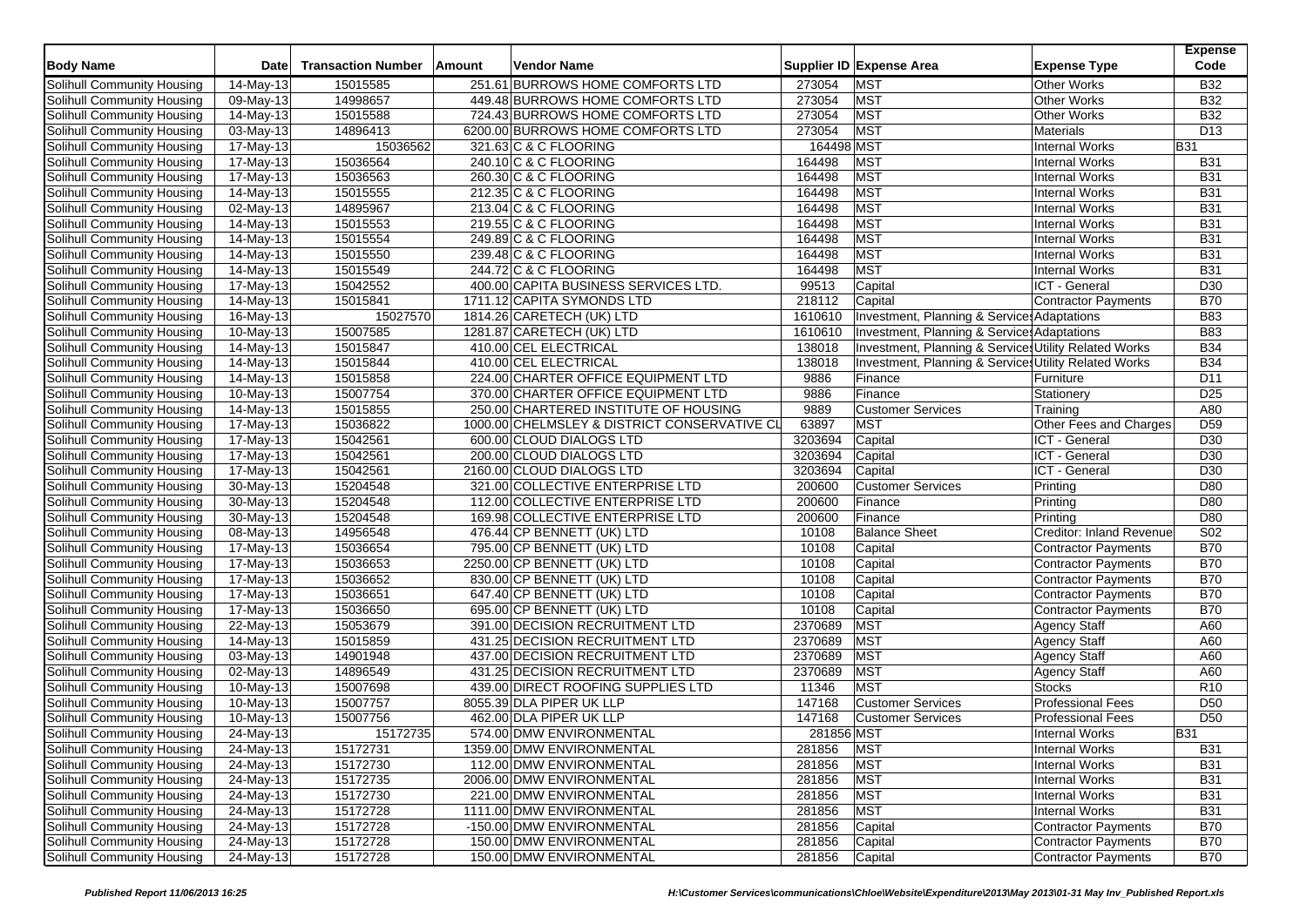| <b>Body Name</b>                                         | <b>Date</b>                   | <b>Transaction Number</b> | Amount | <b>Vendor Name</b>                                                       |                    | Supplier ID Expense Area                                                                             | <b>Expense Type</b>                                  | <b>Expense</b><br>Code   |
|----------------------------------------------------------|-------------------------------|---------------------------|--------|--------------------------------------------------------------------------|--------------------|------------------------------------------------------------------------------------------------------|------------------------------------------------------|--------------------------|
| Solihull Community Housing                               | 14-May-13                     | 15015585                  |        | 251.61 BURROWS HOME COMFORTS LTD                                         | 273054             | <b>MST</b>                                                                                           | <b>Other Works</b>                                   | <b>B32</b>               |
| Solihull Community Housing                               | 09-May-13                     | 14998657                  |        | 449.48 BURROWS HOME COMFORTS LTD                                         | 273054             | <b>MST</b>                                                                                           | Other Works                                          | <b>B32</b>               |
| Solihull Community Housing                               | 14-May-13                     | 15015588                  |        | 724.43 BURROWS HOME COMFORTS LTD                                         | 273054             | <b>MST</b>                                                                                           | Other Works                                          | <b>B32</b>               |
| Solihull Community Housing                               | 03-May-13                     | 14896413                  |        | 6200.00 BURROWS HOME COMFORTS LTD                                        | 273054             | <b>MST</b>                                                                                           | <b>Materials</b>                                     | D <sub>13</sub>          |
| Solihull Community Housing                               | 17-May-13                     | 15036562                  |        | 321.63 C & C FLOORING                                                    | 164498 MST         |                                                                                                      | <b>Internal Works</b>                                | <b>B</b> 31              |
| Solihull Community Housing                               | 17-May-13                     | 15036564                  |        | 240.10 C & C FLOORING                                                    | 164498             | <b>MST</b>                                                                                           | <b>Internal Works</b>                                | <b>B31</b>               |
| Solihull Community Housing                               | $\overline{17}$ -May-13       | 15036563                  |        | 260.30 C & C FLOORING                                                    | 164498             | <b>MST</b>                                                                                           | <b>Internal Works</b>                                | <b>B31</b>               |
| Solihull Community Housing                               | 14-May-13                     | 15015555                  |        | 212.35 C & C FLOORING                                                    | 164498             | <b>MST</b>                                                                                           | <b>Internal Works</b>                                | <b>B31</b>               |
| Solihull Community Housing                               | 02-May-13                     | 14895967                  |        | 213.04 C & C FLOORING                                                    | 164498             | <b>MST</b>                                                                                           | <b>Internal Works</b>                                | <b>B31</b>               |
| Solihull Community Housing                               | $\overline{14\text{-}$ May-13 | 15015553                  |        | 219.55 C & C FLOORING                                                    | 164498             | <b>MST</b>                                                                                           | <b>Internal Works</b>                                | <b>B31</b>               |
|                                                          |                               | 15015554                  |        | 249.89 C & C FLOORING                                                    | 164498             | <b>MST</b>                                                                                           | <b>Internal Works</b>                                | <b>B31</b>               |
| Solihull Community Housing<br>Solihull Community Housing | 14-May-13<br>$14-May-13$      | 15015550                  |        | 239.48 C & C FLOORING                                                    |                    | <b>MST</b>                                                                                           | <b>Internal Works</b>                                | <b>B31</b>               |
| Solihull Community Housing                               |                               | 15015549                  |        | 244.72 C & C FLOORING                                                    | 164498<br>164498   | <b>MST</b>                                                                                           | <b>Internal Works</b>                                | <b>B31</b>               |
|                                                          | 14-May-13                     |                           |        |                                                                          | 99513              |                                                                                                      |                                                      | D <sub>30</sub>          |
| Solihull Community Housing                               | 17-May-13                     | 15042552<br>15015841      |        | 400.00 CAPITA BUSINESS SERVICES LTD.<br>1711.12 CAPITA SYMONDS LTD       | 218112             | Capital<br>Capital                                                                                   | ICT - General<br><b>Contractor Payments</b>          | <b>B70</b>               |
| Solihull Community Housing                               | 14-May-13                     |                           |        |                                                                          |                    |                                                                                                      |                                                      | <b>B83</b>               |
| Solihull Community Housing                               | 16-May-13                     | 15027570                  |        | 1814.26 CARETECH (UK) LTD                                                | 1610610            | Investment, Planning & Service Adaptations                                                           |                                                      | <b>B83</b>               |
| Solihull Community Housing<br>Solihull Community Housing | 10-May-13<br>14-May-13        | 15007585<br>15015847      |        | 1281.87 CARETECH (UK) LTD<br>410.00 CEL ELECTRICAL                       | 1610610<br>138018  | Investment, Planning & Services Adaptations<br>Investment, Planning & Services Utility Related Works |                                                      | <b>B34</b>               |
| Solihull Community Housing                               |                               | 15015844                  |        | 410.00 CEL ELECTRICAL                                                    | 138018             | Investment, Planning & Services Utility Related Works                                                |                                                      | <b>B34</b>               |
| Solihull Community Housing                               | 14-May-13                     | 15015858                  |        | 224.00 CHARTER OFFICE EQUIPMENT LTD                                      | 9886               | Finance                                                                                              | Furniture                                            | D11                      |
| Solihull Community Housing                               | 14-May-13<br>10-May-13        | 15007754                  |        | 370.00 CHARTER OFFICE EQUIPMENT LTD                                      | 9886               | Finance                                                                                              | Stationery                                           | D <sub>25</sub>          |
|                                                          |                               | 15015855                  |        | 250.00 CHARTERED INSTITUTE OF HOUSING                                    | 9889               | <b>Customer Services</b>                                                                             | Training                                             | A80                      |
| Solihull Community Housing                               | 14-May-13                     | 15036822                  |        |                                                                          | 63897              | <b>MST</b>                                                                                           | Other Fees and Charges                               | D <sub>59</sub>          |
| Solihull Community Housing                               | 17-May-13                     |                           |        | 1000.00 CHELMSLEY & DISTRICT CONSERVATIVE CL<br>600.00 CLOUD DIALOGS LTD |                    |                                                                                                      | ICT - General                                        | D30                      |
| Solihull Community Housing                               | 17-May-13                     | 15042561                  |        |                                                                          | 3203694            | Capital                                                                                              | ICT - General                                        | D30                      |
| Solihull Community Housing                               | 17-May-13<br>17-May-13        | 15042561<br>15042561      |        | 200.00 CLOUD DIALOGS LTD<br>2160.00 CLOUD DIALOGS LTD                    | 3203694<br>3203694 | Capital<br>Capital                                                                                   |                                                      | D <sub>30</sub>          |
| Solihull Community Housing                               |                               | 15204548                  |        |                                                                          | 200600             | <b>Customer Services</b>                                                                             | ICT - General<br>Printing                            | D80                      |
| Solihull Community Housing<br>Solihull Community Housing | 30-May-13                     |                           |        | 321.00 COLLECTIVE ENTERPRISE LTD                                         |                    |                                                                                                      |                                                      | D80                      |
|                                                          | 30-May-13                     | 15204548<br>15204548      |        | 112.00 COLLECTIVE ENTERPRISE LTD<br>169.98 COLLECTIVE ENTERPRISE LTD     | 200600<br>200600   | Finance<br>Finance                                                                                   | Printing<br>Printing                                 | D80                      |
| Solihull Community Housing                               | 30-May-13                     | 14956548                  |        |                                                                          | 10108              |                                                                                                      |                                                      | S02                      |
| Solihull Community Housing                               | 08-May-13                     |                           |        | 476.44 CP BENNETT (UK) LTD                                               | 10108              | <b>Balance Sheet</b>                                                                                 | Creditor: Inland Revenue                             | <b>B70</b>               |
| Solihull Community Housing                               | 17-May-13                     | 15036654                  |        | 795.00 CP BENNETT (UK) LTD                                               |                    | Capital                                                                                              | Contractor Payments                                  | <b>B70</b>               |
| Solihull Community Housing                               | 17-May-13                     | 15036653                  |        | 2250.00 CP BENNETT (UK) LTD                                              | 10108              | Capital                                                                                              | <b>Contractor Payments</b>                           |                          |
| Solihull Community Housing                               | 17-May-13                     | 15036652                  |        | 830.00 CP BENNETT (UK) LTD                                               | 10108<br>10108     | Capital                                                                                              | <b>Contractor Payments</b>                           | <b>B70</b><br><b>B70</b> |
| Solihull Community Housing                               | 17-May-13                     | 15036651                  |        | 647.40 CP BENNETT (UK) LTD                                               |                    | Capital                                                                                              | Contractor Payments                                  |                          |
| Solihull Community Housing                               | 17-May-13                     | 15036650<br>15053679      |        | 695.00 CP BENNETT (UK) LTD                                               | 10108<br>2370689   | Capital<br><b>MST</b>                                                                                | Contractor Payments                                  | <b>B70</b>               |
| Solihull Community Housing                               | 22-May-13                     |                           |        | 391.00 DECISION RECRUITMENT LTD                                          | 2370689            | <b>MST</b>                                                                                           | <b>Agency Staff</b>                                  | A60<br>A60               |
| Solihull Community Housing                               | 14-May-13<br>03-May-13        | 15015859                  |        | 431.25 DECISION RECRUITMENT LTD<br>437.00 DECISION RECRUITMENT LTD       |                    | <b>MST</b>                                                                                           | <b>Agency Staff</b>                                  | A60                      |
| Solihull Community Housing                               |                               | 14901948<br>14896549      |        | 431.25 DECISION RECRUITMENT LTD                                          | 2370689<br>2370689 | <b>MST</b>                                                                                           | <b>Agency Staff</b><br><b>Agency Staff</b>           |                          |
| Solihull Community Housing                               | 02-May-13                     |                           |        |                                                                          |                    |                                                                                                      |                                                      | A60                      |
| Solihull Community Housing                               | 10-May-13                     | 15007698                  |        | 439.00 DIRECT ROOFING SUPPLIES LTD                                       | 11346              | <b>MST</b>                                                                                           | <b>Stocks</b>                                        | R <sub>10</sub>          |
| Solihull Community Housing                               | 10-May-13                     | 15007757                  |        | 8055.39 DLA PIPER UK LLP                                                 | 147168             | <b>Customer Services</b>                                                                             | <b>Professional Fees</b><br><b>Professional Fees</b> | D <sub>50</sub>          |
| Solihull Community Housing                               | 10-May-13                     | 15007756                  |        | 462.00 DLA PIPER UK LLP                                                  | 147168             | Customer Services                                                                                    |                                                      | D <sub>50</sub>          |
| Solihull Community Housing                               | 24-May-13                     | 15172735                  |        | 574.00 DMW ENVIRONMENTAL                                                 | 281856 MST         |                                                                                                      | <b>Internal Works</b>                                | <b>B</b> 31              |
| Solihull Community Housing                               | 24-May-13                     | 15172731                  |        | 1359.00 DMW ENVIRONMENTAL                                                | 281856             | <b>MST</b>                                                                                           | Internal Works                                       | <b>B31</b>               |
| Solihull Community Housing                               | 24-May-13                     | 15172730                  |        | 112.00 DMW ENVIRONMENTAL                                                 | 281856             | <b>MST</b>                                                                                           | Internal Works                                       | <b>B31</b>               |
| Solihull Community Housing                               | 24-May-13                     | 15172735                  |        | 2006.00 DMW ENVIRONMENTAL                                                | 281856             | <b>MST</b>                                                                                           | <b>Internal Works</b>                                | <b>B31</b>               |
| Solihull Community Housing                               | 24-May-13                     | 15172730                  |        | 221.00 DMW ENVIRONMENTAL                                                 | 281856             | <b>MST</b>                                                                                           | Internal Works                                       | <b>B31</b>               |
| Solihull Community Housing                               | 24-May-13                     | 15172728                  |        | 1111.00 DMW ENVIRONMENTAL                                                | 281856             | <b>MST</b>                                                                                           | Internal Works                                       | <b>B31</b>               |
| Solihull Community Housing                               | 24-May-13                     | 15172728                  |        | -150.00 DMW ENVIRONMENTAL                                                | 281856             | Capital                                                                                              | Contractor Payments                                  | <b>B70</b>               |
| <b>Solihull Community Housing</b>                        | 24-May-13                     | 15172728                  |        | 150.00 DMW ENVIRONMENTAL                                                 | 281856             | Capital                                                                                              | Contractor Payments                                  | <b>B70</b>               |
| Solihull Community Housing                               | 24-May-13                     | 15172728                  |        | 150.00 DMW ENVIRONMENTAL                                                 | 281856             | Capital                                                                                              | Contractor Payments                                  | <b>B70</b>               |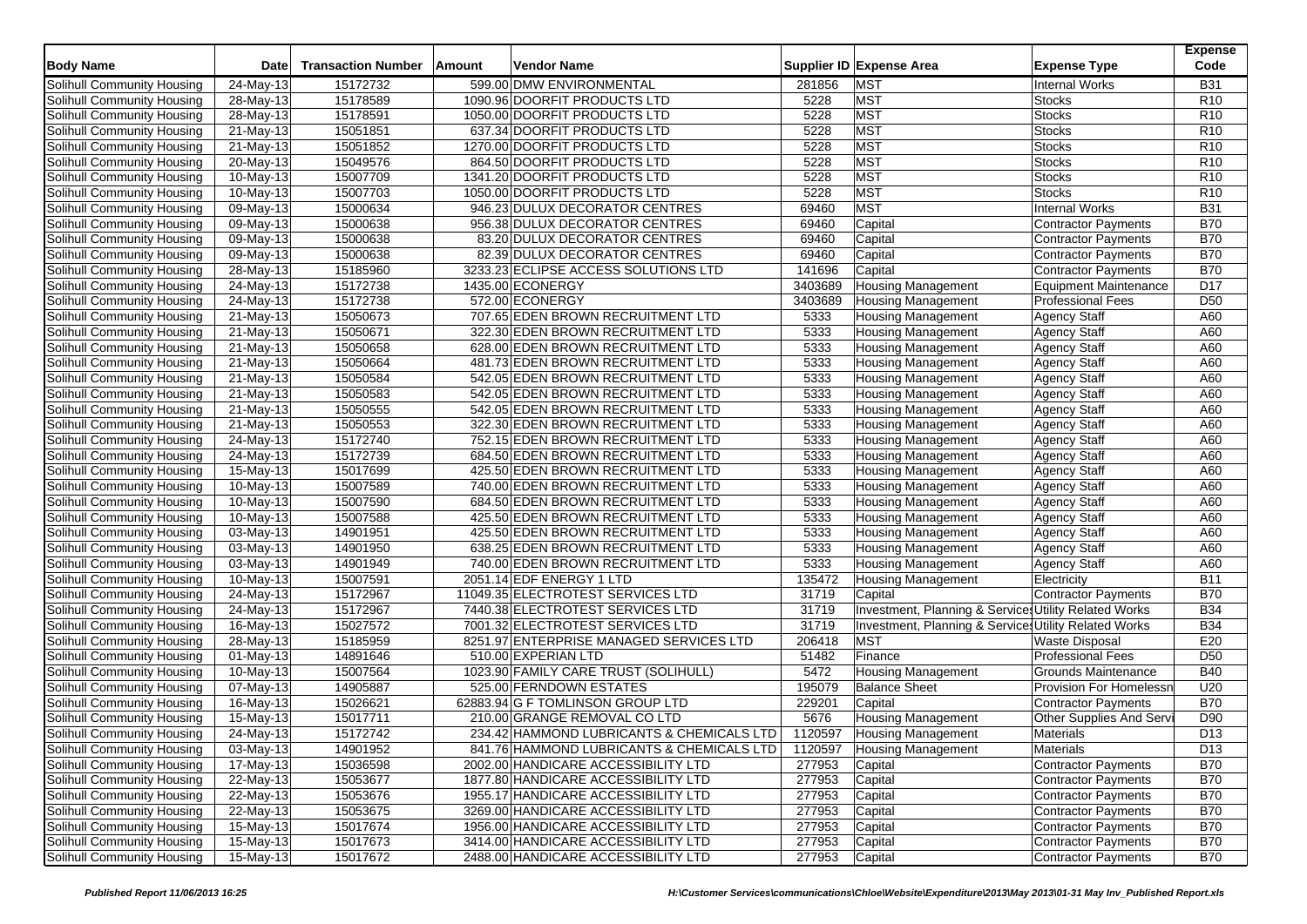| <b>Body Name</b>                  | Date                    | <b>Transaction Number</b> | Amount | Vendor Name                               |         | Supplier ID Expense Area                              | <b>Expense Type</b>            | <b>Expense</b><br>Code |
|-----------------------------------|-------------------------|---------------------------|--------|-------------------------------------------|---------|-------------------------------------------------------|--------------------------------|------------------------|
| Solihull Community Housing        | 24-May-13               | 15172732                  |        | 599.00 DMW ENVIRONMENTAL                  | 281856  | <b>MST</b>                                            | Internal Works                 | <b>B31</b>             |
| Solihull Community Housing        | 28-May-13               | 15178589                  |        | 1090.96 DOORFIT PRODUCTS LTD              | 5228    | <b>MST</b>                                            | <b>Stocks</b>                  | R <sub>10</sub>        |
| <b>Solihull Community Housing</b> | 28-May-13               | 15178591                  |        | 1050.00 DOORFIT PRODUCTS LTD              | 5228    | <b>MST</b>                                            | <b>Stocks</b>                  | R <sub>10</sub>        |
| Solihull Community Housing        | 21-May-13               | 15051851                  |        | 637.34 DOORFIT PRODUCTS LTD               | 5228    | <b>MST</b>                                            | Stocks                         | R <sub>10</sub>        |
| Solihull Community Housing        | 21-May-13               | 15051852                  |        | 1270.00 DOORFIT PRODUCTS LTD              | 5228    | <b>MST</b>                                            | Stocks                         | R <sub>10</sub>        |
| Solihull Community Housing        | 20-May-13               | 15049576                  |        | 864.50 DOORFIT PRODUCTS LTD               | 5228    | <b>MST</b>                                            | <b>Stocks</b>                  | R <sub>10</sub>        |
| Solihull Community Housing        | 10-May-13               | 15007709                  |        | 1341.20 DOORFIT PRODUCTS LTD              | 5228    | <b>MST</b>                                            | <b>Stocks</b>                  | R <sub>10</sub>        |
| Solihull Community Housing        | 10-May-13               | 15007703                  |        | 1050.00 DOORFIT PRODUCTS LTD              | 5228    | <b>MST</b>                                            | <b>Stocks</b>                  | R <sub>10</sub>        |
| Solihull Community Housing        | 09-May-13               | 15000634                  |        | 946.23 DULUX DECORATOR CENTRES            | 69460   | <b>MST</b>                                            | <b>Internal Works</b>          | <b>B31</b>             |
| Solihull Community Housing        | 09-May-13               | 15000638                  |        | 956.38 DULUX DECORATOR CENTRES            | 69460   | Capital                                               | <b>Contractor Payments</b>     | <b>B70</b>             |
| Solihull Community Housing        | 09-May-13               | 15000638                  |        | 83.20 DULUX DECORATOR CENTRES             | 69460   | Capital                                               | <b>Contractor Payments</b>     | <b>B70</b>             |
| Solihull Community Housing        | 09-May-13               | 15000638                  |        | 82.39 DULUX DECORATOR CENTRES             | 69460   | Capital                                               | <b>Contractor Payments</b>     | <b>B70</b>             |
| Solihull Community Housing        | 28-May-13               | 15185960                  |        | 3233.23 ECLIPSE ACCESS SOLUTIONS LTD      | 141696  | Capital                                               | Contractor Payments            | <b>B70</b>             |
| Solihull Community Housing        | 24-May-13               | 15172738                  |        | 1435.00 ECONERGY                          | 3403689 | <b>Housing Management</b>                             | <b>Equipment Maintenance</b>   | D <sub>17</sub>        |
| Solihull Community Housing        | 24-May-13               | 15172738                  |        | 572.00 ECONERGY                           | 3403689 | <b>Housing Management</b>                             | <b>Professional Fees</b>       | D <sub>50</sub>        |
| Solihull Community Housing        | 21-May-13               | 15050673                  |        | 707.65 EDEN BROWN RECRUITMENT LTD         | 5333    | <b>Housing Management</b>                             | <b>Agency Staff</b>            | A60                    |
| Solihull Community Housing        | 21-May-13               | 15050671                  |        | 322.30 EDEN BROWN RECRUITMENT LTD         | 5333    | <b>Housing Management</b>                             | Agency Staff                   | A60                    |
| Solihull Community Housing        | 21-May-13               | 15050658                  |        | 628.00 EDEN BROWN RECRUITMENT LTD         | 5333    | <b>Housing Management</b>                             | <b>Agency Staff</b>            | A60                    |
| Solihull Community Housing        | 21-May-13               | 15050664                  |        | 481.73 EDEN BROWN RECRUITMENT LTD         | 5333    | <b>Housing Management</b>                             | <b>Agency Staff</b>            | A60                    |
| Solihull Community Housing        | 21-May-13               | 15050584                  |        | 542.05 EDEN BROWN RECRUITMENT LTD         | 5333    | <b>Housing Management</b>                             | Agency Staff                   | A60                    |
| Solihull Community Housing        | 21-May-13               | 15050583                  |        | 542.05 EDEN BROWN RECRUITMENT LTD         | 5333    | Housing Management                                    | <b>Agency Staff</b>            | A60                    |
| Solihull Community Housing        | 21-May-13               | 15050555                  |        | 542.05 EDEN BROWN RECRUITMENT LTD         | 5333    | <b>Housing Management</b>                             | <b>Agency Staff</b>            | A60                    |
| Solihull Community Housing        | 21-May-13               | 15050553                  |        | 322.30 EDEN BROWN RECRUITMENT LTD         | 5333    | <b>Housing Management</b>                             | <b>Agency Staff</b>            | A60                    |
| Solihull Community Housing        | $\overline{24}$ -May-13 | 15172740                  |        | 752.15 EDEN BROWN RECRUITMENT LTD         | 5333    | <b>Housing Management</b>                             | Agency Staff                   | A60                    |
| Solihull Community Housing        | 24-May-13               | 15172739                  |        | 684.50 EDEN BROWN RECRUITMENT LTD         | 5333    | <b>Housing Management</b>                             | <b>Agency Staff</b>            | A60                    |
| Solihull Community Housing        | 15-May-13               | 15017699                  |        | 425.50 EDEN BROWN RECRUITMENT LTD         | 5333    | <b>Housing Management</b>                             | <b>Agency Staff</b>            | A60                    |
| Solihull Community Housing        | 10-May-13               | 15007589                  |        | 740.00 EDEN BROWN RECRUITMENT LTD         | 5333    | <b>Housing Management</b>                             | Agency Staff                   | A60                    |
| Solihull Community Housing        | 10-May-13               | 15007590                  |        | 684.50 EDEN BROWN RECRUITMENT LTD         | 5333    | <b>Housing Management</b>                             | <b>Agency Staff</b>            | A60                    |
| Solihull Community Housing        | 10-May-13               | 15007588                  |        | 425.50 EDEN BROWN RECRUITMENT LTD         | 5333    | <b>Housing Management</b>                             | <b>Agency Staff</b>            | A60                    |
| Solihull Community Housing        | 03-May-13               | 14901951                  |        | 425.50 EDEN BROWN RECRUITMENT LTD         | 5333    | <b>Housing Management</b>                             | Agency Staff                   | A60                    |
| Solihull Community Housing        | 03-May-13               | 14901950                  |        | 638.25 EDEN BROWN RECRUITMENT LTD         | 5333    | <b>Housing Management</b>                             | <b>Agency Staff</b>            | A60                    |
| Solihull Community Housing        | 03-May-13               | 14901949                  |        | 740.00 EDEN BROWN RECRUITMENT LTD         | 5333    | <b>Housing Management</b>                             | <b>Agency Staff</b>            | A60                    |
| Solihull Community Housing        | 10-May-13               | 15007591                  |        | 2051.14 EDF ENERGY 1 LTD                  | 135472  | <b>Housing Management</b>                             | Electricity                    | <b>B11</b>             |
| Solihull Community Housing        | 24-May-13               | 15172967                  |        | 11049.35 ELECTROTEST SERVICES LTD         | 31719   | Capital                                               | Contractor Payments            | <b>B70</b>             |
| Solihull Community Housing        | 24-May-13               | 15172967                  |        | 7440.38 ELECTROTEST SERVICES LTD          | 31719   | Investment, Planning & Services Utility Related Works |                                | <b>B34</b>             |
| Solihull Community Housing        | 16-May-13               | 15027572                  |        | 7001.32 ELECTROTEST SERVICES LTD          | 31719   | Investment, Planning & Services Utility Related Works |                                | <b>B34</b>             |
| Solihull Community Housing        | 28-May-13               | 15185959                  |        | 8251.97 ENTERPRISE MANAGED SERVICES LTD   | 206418  | <b>MST</b>                                            | <b>Waste Disposal</b>          | E20                    |
| Solihull Community Housing        | 01-May-13               | 14891646                  |        | 510.00 EXPERIAN LTD                       | 51482   | Finance                                               | Professional Fees              | D <sub>50</sub>        |
| Solihull Community Housing        | 10-May-13               | 15007564                  |        | 1023.90 FAMILY CARE TRUST (SOLIHULL)      | 5472    | <b>Housing Management</b>                             | <b>Grounds Maintenance</b>     | <b>B40</b>             |
| Solihull Community Housing        | 07-May-13               | 14905887                  |        | 525.00 FERNDOWN ESTATES                   | 195079  | <b>Balance Sheet</b>                                  | <b>Provision For Homelessn</b> | U20                    |
| Solihull Community Housing        | 16-May-13               | 15026621                  |        | 62883.94 G F TOMLINSON GROUP LTD          | 229201  | Capital                                               | Contractor Payments            | <b>B70</b>             |
| Solihull Community Housing        | 15-May-13               | 15017711                  |        | 210.00 GRANGE REMOVAL CO LTD              | 5676    | <b>Housing Management</b>                             | Other Supplies And Serv        | D90                    |
| Solihull Community Housing        | 24-May-13               | 15172742                  |        | 234.42 HAMMOND LUBRICANTS & CHEMICALS LTD | 1120597 | Housing Management                                    | Materials                      | D <sub>13</sub>        |
| Solihull Community Housing        | 03-May-13               | 14901952                  |        | 841.76 HAMMOND LUBRICANTS & CHEMICALS LTD | 1120597 | <b>Housing Management</b>                             | Materials                      | D <sub>13</sub>        |
| Solihull Community Housing        | 17-May-13               | 15036598                  |        | 2002.00 HANDICARE ACCESSIBILITY LTD       | 277953  | Capital                                               | Contractor Payments            | <b>B70</b>             |
| Solihull Community Housing        | $\overline{2}$ 2-May-13 | 15053677                  |        | 1877.80 HANDICARE ACCESSIBILITY LTD       | 277953  | Capital                                               | Contractor Payments            | <b>B70</b>             |
| Solihull Community Housing        | 22-May-13               | 15053676                  |        | 1955.17 HANDICARE ACCESSIBILITY LTD       | 277953  | Capital                                               | Contractor Payments            | <b>B70</b>             |
| Solihull Community Housing        | 22-May-13               | 15053675                  |        | 3269.00 HANDICARE ACCESSIBILITY LTD       | 277953  | Capital                                               | Contractor Payments            | <b>B70</b>             |
| Solihull Community Housing        | 15-May-13               | 15017674                  |        | 1956.00 HANDICARE ACCESSIBILITY LTD       | 277953  | Capital                                               | <b>Contractor Payments</b>     | <b>B70</b>             |
| <b>Solihull Community Housing</b> | 15-May-13               | 15017673                  |        | 3414.00 HANDICARE ACCESSIBILITY LTD       | 277953  | Capital                                               | Contractor Payments            | <b>B70</b>             |
| Solihull Community Housing        | 15-May-13               | 15017672                  |        | 2488.00 HANDICARE ACCESSIBILITY LTD       | 277953  |                                                       | <b>Contractor Payments</b>     | <b>B70</b>             |
|                                   |                         |                           |        |                                           |         | Capital                                               |                                |                        |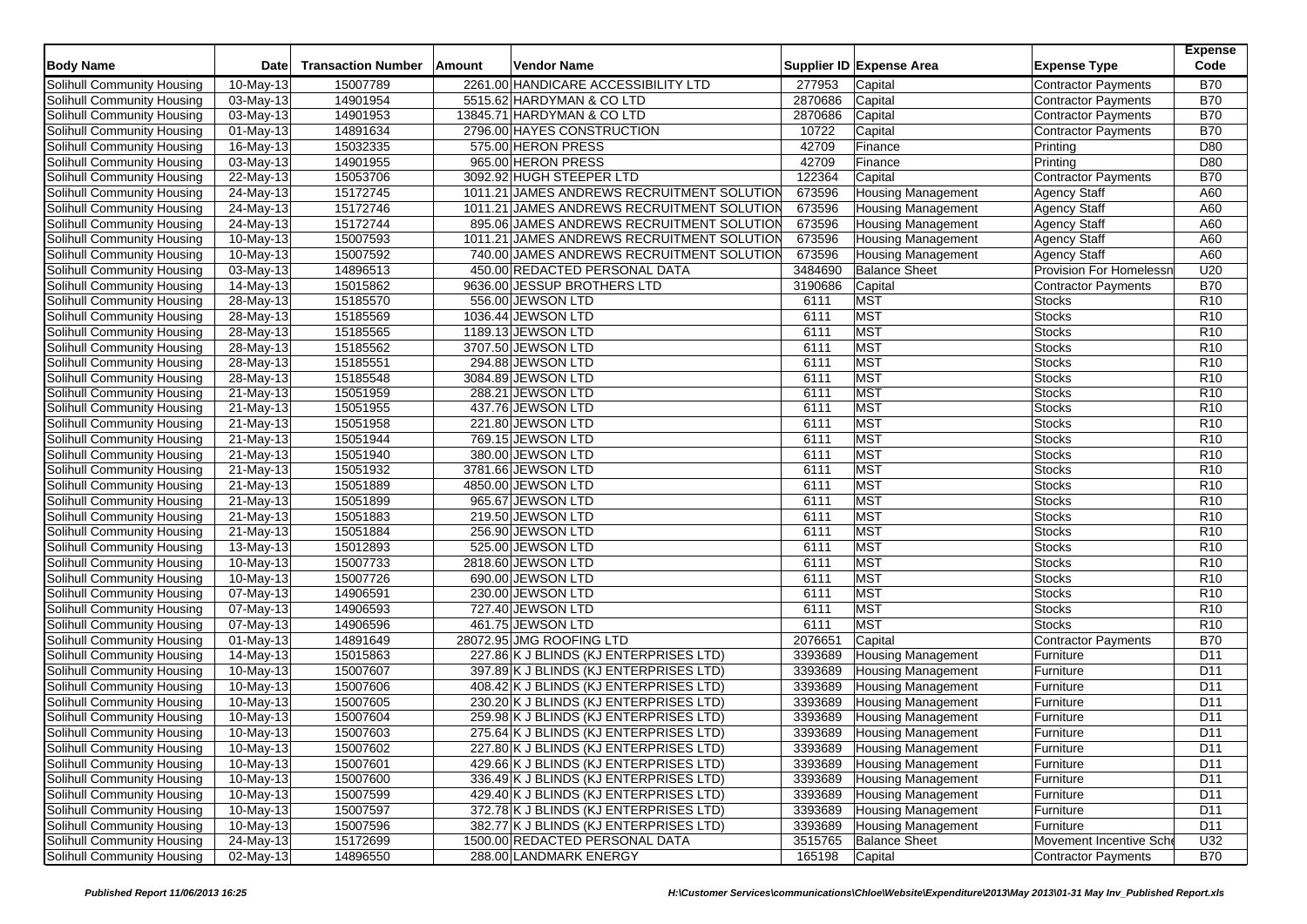| <b>Body Name</b>                                         | <b>Date</b>             | <b>Transaction Number</b> | Amount | Vendor Name                                                                      |         | Supplier ID Expense Area  | <b>Expense Type</b>        | <b>Expense</b><br>Code |
|----------------------------------------------------------|-------------------------|---------------------------|--------|----------------------------------------------------------------------------------|---------|---------------------------|----------------------------|------------------------|
| Solihull Community Housing                               | 10-May-13               | 15007789                  |        | 2261.00 HANDICARE ACCESSIBILITY LTD                                              | 277953  | Capital                   | <b>Contractor Payments</b> | <b>B70</b>             |
| Solihull Community Housing                               | 03-May-13               | 14901954                  |        | 5515.62 HARDYMAN & CO LTD                                                        | 2870686 | Capital                   | <b>Contractor Payments</b> | <b>B70</b>             |
| Solihull Community Housing                               | 03-May-13               | 14901953                  |        | 13845.71 HARDYMAN & CO LTD                                                       | 2870686 | Capital                   | <b>Contractor Payments</b> | <b>B70</b>             |
| Solihull Community Housing                               | $\overline{0}$ 1-May-13 | 14891634                  |        | 2796.00 HAYES CONSTRUCTION                                                       | 10722   | Capital                   | <b>Contractor Payments</b> | <b>B70</b>             |
| Solihull Community Housing                               | 16-May-13               | 15032335                  |        | 575.00 HERON PRESS                                                               | 42709   | Finance                   | Printing                   | D80                    |
| Solihull Community Housing                               | 03-May-13               | 14901955                  |        | 965.00 HERON PRESS                                                               | 42709   | Finance                   | Printing                   | D80                    |
| Solihull Community Housing                               | 22-May-13               | 15053706                  |        | 3092.92 HUGH STEEPER LTD                                                         | 122364  | Capital                   | Contractor Payments        | <b>B70</b>             |
| Solihull Community Housing                               | 24-May-13               | 15172745                  |        | 1011.21 JAMES ANDREWS RECRUITMENT SOLUTION                                       | 673596  | <b>Housing Management</b> | <b>Agency Staff</b>        | A60                    |
| Solihull Community Housing                               | 24-May-13               | 15172746                  |        | 1011.21 JAMES ANDREWS RECRUITMENT SOLUTION                                       | 673596  | <b>Housing Management</b> | <b>Agency Staff</b>        | A60                    |
| Solihull Community Housing                               | 24-May-13               | 15172744                  |        | 895.06 JAMES ANDREWS RECRUITMENT SOLUTION                                        | 673596  | <b>Housing Management</b> | <b>Agency Staff</b>        | A60                    |
| Solihull Community Housing                               | 10-May-13               | 15007593                  |        | 1011.21 JAMES ANDREWS RECRUITMENT SOLUTION                                       | 673596  | <b>Housing Management</b> | <b>Agency Staff</b>        | A60                    |
| Solihull Community Housing                               | 10-May-13               | 15007592                  |        | 740.00 JAMES ANDREWS RECRUITMENT SOLUTION                                        | 673596  | <b>Housing Management</b> | Agency Staff               | A60                    |
| Solihull Community Housing                               | 03-May-13               | 14896513                  |        | 450.00 REDACTED PERSONAL DATA                                                    | 3484690 | <b>Balance Sheet</b>      | Provision For Homelessn    | U20                    |
| Solihull Community Housing                               | 14-May-13               | 15015862                  |        | 9636.00 JESSUP BROTHERS LTD                                                      | 3190686 | Capital                   | <b>Contractor Payments</b> | <b>B70</b>             |
| Solihull Community Housing                               | 28-May-13               | 15185570                  |        | 556.00 JEWSON LTD                                                                | 6111    | <b>MST</b>                | <b>Stocks</b>              | R <sub>10</sub>        |
| Solihull Community Housing                               | 28-May-13               | 15185569                  |        | 1036.44 JEWSON LTD                                                               | 6111    | <b>MST</b>                | <b>Stocks</b>              | R <sub>10</sub>        |
| Solihull Community Housing                               | $\overline{28}$ -May-13 | 15185565                  |        | 1189.13 JEWSON LTD                                                               | 6111    | <b>MST</b>                | <b>Stocks</b>              | R <sub>10</sub>        |
| Solihull Community Housing                               | $\overline{28}$ -May-13 | 15185562                  |        | 3707.50 JEWSON LTD                                                               | 6111    | <b>MST</b>                | <b>Stocks</b>              | R <sub>10</sub>        |
| Solihull Community Housing                               | 28-May-13               | 15185551                  |        | 294.88 JEWSON LTD                                                                | 6111    | MST                       | <b>Stocks</b>              | R <sub>10</sub>        |
| Solihull Community Housing                               | 28-May-13               | 15185548                  |        | 3084.89 JEWSON LTD                                                               | 6111    | <b>MST</b>                | <b>Stocks</b>              | R <sub>10</sub>        |
| Solihull Community Housing                               | 21-May-13               | 15051959                  |        | 288.21 JEWSON LTD                                                                | 6111    | <b>MST</b>                | <b>Stocks</b>              | R <sub>10</sub>        |
| Solihull Community Housing                               | 21-May-13               | 15051955                  |        | 437.76 JEWSON LTD                                                                | 6111    | MST                       | <b>Stocks</b>              | R <sub>10</sub>        |
| Solihull Community Housing                               | 21-May-13               | 15051958                  |        | 221.80 JEWSON LTD                                                                | 6111    | <b>MST</b>                | <b>Stocks</b>              | R <sub>10</sub>        |
| Solihull Community Housing                               | 21-May-13               | 15051944                  |        | 769.15 JEWSON LTD                                                                | 6111    | <b>MST</b>                | <b>Stocks</b>              | R <sub>10</sub>        |
| Solihull Community Housing                               | 21-May-13               | 15051940                  |        | 380.00 JEWSON LTD                                                                | 6111    | <b>MST</b>                | <b>Stocks</b>              | R <sub>10</sub>        |
| Solihull Community Housing                               | 21-May-13               | 15051932                  |        | 3781.66 JEWSON LTD                                                               | 6111    | MST                       | <b>Stocks</b>              | R <sub>10</sub>        |
| Solihull Community Housing                               | 21-May-13               | 15051889                  |        | 4850.00 JEWSON LTD                                                               | 6111    | MST                       | <b>Stocks</b>              | R <sub>10</sub>        |
| Solihull Community Housing                               | 21-May-13               | 15051899                  |        | 965.67 JEWSON LTD                                                                | 6111    | MST                       | <b>Stocks</b>              | R <sub>10</sub>        |
| Solihull Community Housing                               | 21-May-13               | 15051883                  |        | 219.50 JEWSON LTD                                                                | 6111    | MST                       | <b>Stocks</b>              | R <sub>10</sub>        |
| Solihull Community Housing                               | 21-May-13               | 15051884                  |        | 256.90 JEWSON LTD                                                                | 6111    | <b>MST</b>                | <b>Stocks</b>              | R10                    |
| Solihull Community Housing                               | 13-May-13               | 15012893                  |        | 525.00 JEWSON LTD                                                                | 6111    | MST                       | <b>Stocks</b>              | R <sub>10</sub>        |
| Solihull Community Housing                               | 10-May-13               | 15007733                  |        | 2818.60 JEWSON LTD                                                               | 6111    | <b>MST</b>                | <b>Stocks</b>              | R <sub>10</sub>        |
| Solihull Community Housing                               | 10-May-13               | 15007726                  |        | 690.00 JEWSON LTD                                                                | 6111    | <b>MST</b>                | <b>Stocks</b>              | R <sub>10</sub>        |
| Solihull Community Housing                               | 07-May-13               | 14906591                  |        | 230.00 JEWSON LTD                                                                | 6111    | <b>MST</b>                | <b>Stocks</b>              | R <sub>10</sub>        |
| Solihull Community Housing                               | 07-May-13               | 14906593                  |        | 727.40 JEWSON LTD                                                                | 6111    | <b>MST</b>                | <b>Stocks</b>              | R <sub>10</sub>        |
| Solihull Community Housing                               | 07-May-13               | 14906596                  |        | 461.75 JEWSON LTD                                                                | 6111    | <b>MST</b>                | <b>Stocks</b>              | R <sub>10</sub>        |
| Solihull Community Housing                               | 01-May-13               | 14891649                  |        | 28072.95 JMG ROOFING LTD                                                         | 2076651 | Capital                   | <b>Contractor Payments</b> | <b>B70</b>             |
| Solihull Community Housing                               | 14-May-13               | 15015863                  |        | 227.86 K J BLINDS (KJ ENTERPRISES LTD)                                           | 3393689 | <b>Housing Management</b> | Furniture                  | D <sub>11</sub>        |
| Solihull Community Housing                               | 10-May-13               | 15007607                  |        | 397.89 K J BLINDS (KJ ENTERPRISES LTD)                                           | 3393689 | <b>Housing Management</b> | Furniture                  | D11                    |
| Solihull Community Housing                               | 10-May-13               | 15007606                  |        | 408.42 K J BLINDS (KJ ENTERPRISES LTD)                                           | 3393689 | <b>Housing Management</b> | Furniture                  | D <sub>11</sub>        |
| Solihull Community Housing                               | 10-May-13               | 15007605                  |        | 230.20 K J BLINDS (KJ ENTERPRISES LTD)                                           | 3393689 | <b>Housing Management</b> | Furniture                  | D <sub>11</sub>        |
| Solihull Community Housing                               | $\overline{10}$ -May-13 | 15007604                  |        | 259.98 K J BLINDS (KJ ENTERPRISES LTD)                                           | 3393689 | <b>Housing Management</b> | Furniture                  | D11                    |
| Solihull Community Housing                               | 10-May-13               | 15007603                  |        |                                                                                  | 3393689 | <b>Housing Management</b> | Furniture                  | D <sub>11</sub>        |
|                                                          | 10-May-13               | 15007602                  |        | 275.64 K J BLINDS (KJ ENTERPRISES LTD)<br>227.80 K J BLINDS (KJ ENTERPRISES LTD) | 3393689 | <b>Housing Management</b> |                            | D <sub>11</sub>        |
| Solihull Community Housing<br>Solihull Community Housing | 10-May-13               | 15007601                  |        | 429.66 K J BLINDS (KJ ENTERPRISES LTD)                                           | 3393689 | <b>Housing Management</b> | Furniture                  | D11                    |
| Solihull Community Housing                               |                         |                           |        | 336.49 K J BLINDS (KJ ENTERPRISES LTD)                                           |         |                           | Furniture                  |                        |
|                                                          | 10-May-13               | 15007600                  |        |                                                                                  | 3393689 | <b>Housing Management</b> | Furniture                  | D11                    |
| Solihull Community Housing                               | 10-May-13               | 15007599                  |        | 429.40 K J BLINDS (KJ ENTERPRISES LTD)                                           | 3393689 | <b>Housing Management</b> | Furniture                  | D <sub>11</sub>        |
| Solihull Community Housing                               | 10-May-13               | 15007597                  |        | 372.78 K J BLINDS (KJ ENTERPRISES LTD)                                           | 3393689 | <b>Housing Management</b> | Furniture                  | D11                    |
| Solihull Community Housing                               | 10-May-13               | 15007596                  |        | 382.77 K J BLINDS (KJ ENTERPRISES LTD)                                           | 3393689 | <b>Housing Management</b> | Furniture                  | D11                    |
| Solihull Community Housing                               | 24-May-13               | 15172699                  |        | 1500.00 REDACTED PERSONAL DATA                                                   | 3515765 | <b>Balance Sheet</b>      | Movement Incentive Sche    | U32                    |
| Solihull Community Housing                               | 02-May-13               | 14896550                  |        | 288.00 LANDMARK ENERGY                                                           | 165198  | Capital                   | Contractor Payments        | <b>B70</b>             |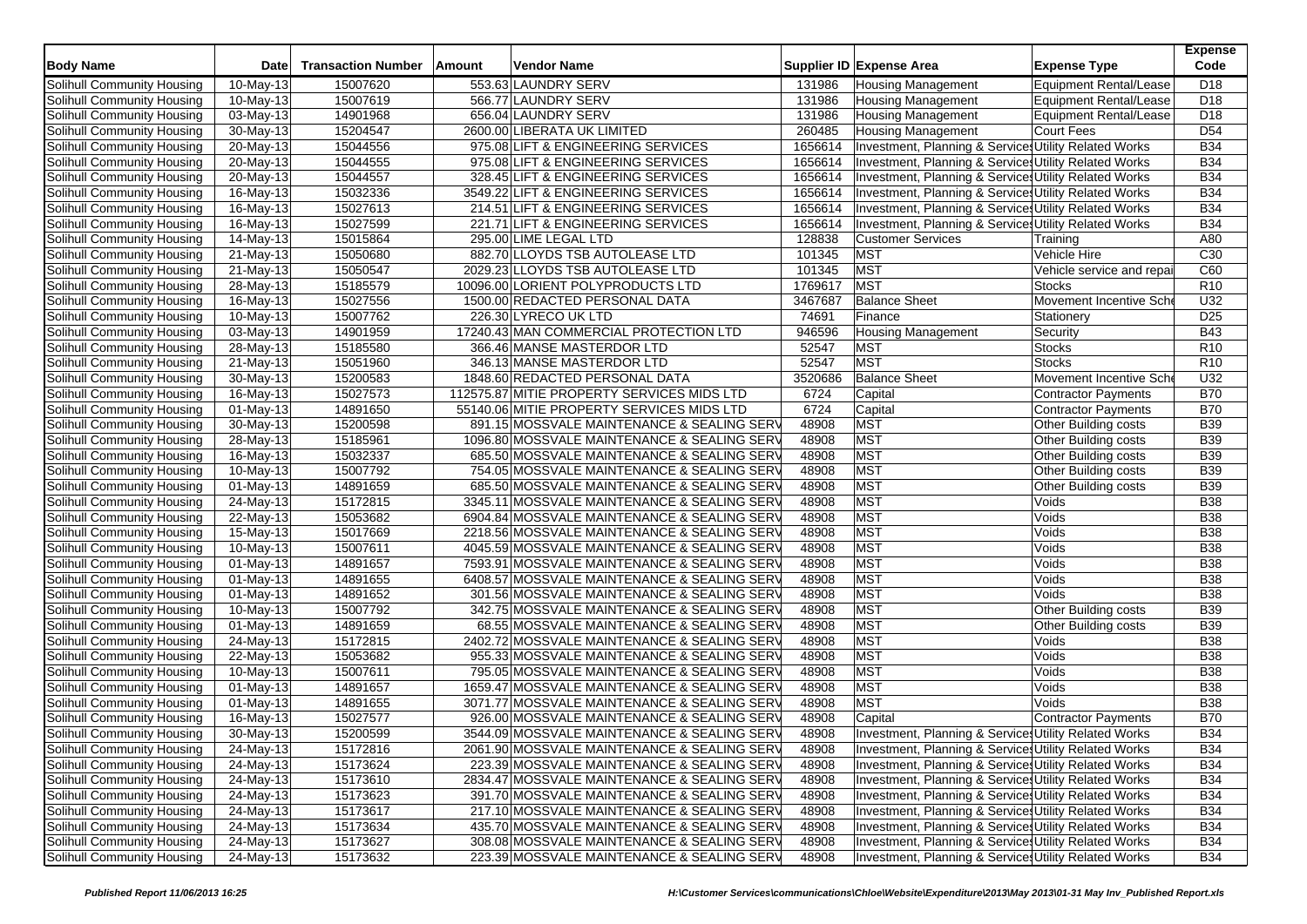| <b>Body Name</b>           | <b>Date</b>             | <b>Transaction Number</b> | Amount | Vendor Name                                 |         | Supplier ID Expense Area                              | <b>Expense Type</b>           | <b>Expense</b><br>Code |
|----------------------------|-------------------------|---------------------------|--------|---------------------------------------------|---------|-------------------------------------------------------|-------------------------------|------------------------|
| Solihull Community Housing | 10-May-13               | 15007620                  |        | 553.63 LAUNDRY SERV                         | 131986  | <b>Housing Management</b>                             | <b>Equipment Rental/Lease</b> | D <sub>18</sub>        |
| Solihull Community Housing | 10-May-13               | 15007619                  |        | 566.77 LAUNDRY SERV                         | 131986  | <b>Housing Management</b>                             | <b>Equipment Rental/Lease</b> | D <sub>18</sub>        |
| Solihull Community Housing | 03-May-13               | 14901968                  |        | 656.04 LAUNDRY SERV                         | 131986  | <b>Housing Management</b>                             | <b>Equipment Rental/Lease</b> | D <sub>18</sub>        |
| Solihull Community Housing | $\overline{30}$ -May-13 | 15204547                  |        | 2600.00 LIBERATA UK LIMITED                 | 260485  | Housing Management                                    | <b>Court Fees</b>             | D <sub>54</sub>        |
| Solihull Community Housing | 20-May-13               | 15044556                  |        | 975.08 LIFT & ENGINEERING SERVICES          | 1656614 | Investment, Planning & Services Utility Related Works |                               | <b>B34</b>             |
| Solihull Community Housing | 20-May-13               | 15044555                  |        | 975.08 LIFT & ENGINEERING SERVICES          | 1656614 | Investment, Planning & Services Utility Related Works |                               | <b>B34</b>             |
| Solihull Community Housing | 20-May-13               | 15044557                  |        | 328.45 LIFT & ENGINEERING SERVICES          | 1656614 | Investment, Planning & Services Utility Related Works |                               | <b>B34</b>             |
| Solihull Community Housing | 16-May-13               | 15032336                  |        | 3549.22 LIFT & ENGINEERING SERVICES         | 1656614 | Investment, Planning & Services Utility Related Works |                               | <b>B34</b>             |
| Solihull Community Housing | 16-May-13               | 15027613                  |        | 214.51 LIFT & ENGINEERING SERVICES          | 1656614 | Investment, Planning & Services Utility Related Works |                               | <b>B34</b>             |
| Solihull Community Housing | 16-May-13               | 15027599                  |        | 221.71 LIFT & ENGINEERING SERVICES          | 1656614 | Investment, Planning & Services Utility Related Works |                               | <b>B34</b>             |
| Solihull Community Housing | 14-May-13               | 15015864                  |        | 295.00 LIME LEGAL LTD                       | 128838  | <b>Customer Services</b>                              | Training                      | A80                    |
| Solihull Community Housing | 21-May-13               | 15050680                  |        | 882.70 LLOYDS TSB AUTOLEASE LTD             | 101345  | <b>MST</b>                                            | Vehicle Hire                  | C <sub>30</sub>        |
| Solihull Community Housing | 21-May-13               | 15050547                  |        | 2029.23 LLOYDS TSB AUTOLEASE LTD            | 101345  | <b>MST</b>                                            | Vehicle service and repa      | C60                    |
| Solihull Community Housing | 28-May-13               | 15185579                  |        | 10096.00 LORIENT POLYPRODUCTS LTD           | 1769617 | <b>MST</b>                                            | <b>Stocks</b>                 | R <sub>10</sub>        |
| Solihull Community Housing | 16-May-13               | 15027556                  |        | 1500.00 REDACTED PERSONAL DATA              | 3467687 | <b>Balance Sheet</b>                                  | Movement Incentive Sch        | U32                    |
| Solihull Community Housing | 10-May-13               | 15007762                  |        | 226.30 LYRECO UK LTD                        | 74691   | Finance                                               | Stationery                    | D25                    |
| Solihull Community Housing | $\overline{03}$ -May-13 | 14901959                  |        | 17240.43 MAN COMMERCIAL PROTECTION LTD      | 946596  | <b>Housing Management</b>                             | Security                      | <b>B43</b>             |
| Solihull Community Housing | 28-May-13               | 15185580                  |        | 366.46 MANSE MASTERDOR LTD                  | 52547   | <b>MST</b>                                            | <b>Stocks</b>                 | R <sub>10</sub>        |
| Solihull Community Housing | 21-May-13               | 15051960                  |        | 346.13 MANSE MASTERDOR LTD                  | 52547   | <b>MST</b>                                            | <b>Stocks</b>                 | R <sub>10</sub>        |
| Solihull Community Housing | 30-May-13               | 15200583                  |        | 1848.60 REDACTED PERSONAL DATA              | 3520686 | <b>Balance Sheet</b>                                  | Movement Incentive Sch        | U32                    |
| Solihull Community Housing | 16-May-13               | 15027573                  |        | 112575.87 MITIE PROPERTY SERVICES MIDS LTD  | 6724    | Capital                                               | <b>Contractor Payments</b>    | <b>B70</b>             |
| Solihull Community Housing | 01-May-13               | 14891650                  |        | 55140.06 MITIE PROPERTY SERVICES MIDS LTD   | 6724    | Capital                                               | <b>Contractor Payments</b>    | <b>B70</b>             |
| Solihull Community Housing | 30-May-13               | 15200598                  |        | 891.15 MOSSVALE MAINTENANCE & SEALING SERV  | 48908   | <b>MST</b>                                            | Other Building costs          | <b>B39</b>             |
| Solihull Community Housing | 28-May-13               | 15185961                  |        | 1096.80 MOSSVALE MAINTENANCE & SEALING SERV | 48908   | MST                                                   | Other Building costs          | <b>B39</b>             |
| Solihull Community Housing | 16-May-13               | 15032337                  |        | 685.50 MOSSVALE MAINTENANCE & SEALING SERV  | 48908   | <b>MST</b>                                            | Other Building costs          | <b>B39</b>             |
| Solihull Community Housing | 10-May-13               | 15007792                  |        | 754.05 MOSSVALE MAINTENANCE & SEALING SERV  | 48908   | <b>MST</b>                                            | Other Building costs          | <b>B39</b>             |
| Solihull Community Housing | 01-May-13               | 14891659                  |        | 685.50 MOSSVALE MAINTENANCE & SEALING SERV  | 48908   | <b>MST</b>                                            | Other Building costs          | <b>B39</b>             |
| Solihull Community Housing | 24-May-13               | 15172815                  |        | 3345.11 MOSSVALE MAINTENANCE & SEALING SERV | 48908   | <b>MST</b>                                            | Voids                         | <b>B</b> 38            |
| Solihull Community Housing | 22-May-13               | 15053682                  |        | 6904.84 MOSSVALE MAINTENANCE & SEALING SERV | 48908   | <b>MST</b>                                            | Voids                         | <b>B38</b>             |
| Solihull Community Housing | 15-May-13               | 15017669                  |        | 2218.56 MOSSVALE MAINTENANCE & SEALING SERV | 48908   | <b>MST</b>                                            | Voids                         | <b>B38</b>             |
| Solihull Community Housing | 10-May-13               | 15007611                  |        | 4045.59 MOSSVALE MAINTENANCE & SEALING SERV | 48908   | MST                                                   | Voids                         | <b>B38</b>             |
| Solihull Community Housing | 01-May-13               | 14891657                  |        | 7593.91 MOSSVALE MAINTENANCE & SEALING SERV | 48908   | MST                                                   | Voids                         | <b>B38</b>             |
| Solihull Community Housing | 01-May-13               | 14891655                  |        | 6408.57 MOSSVALE MAINTENANCE & SEALING SERV | 48908   | <b>MST</b>                                            | Voids                         | <b>B38</b>             |
| Solihull Community Housing | 01-May-13               | 14891652                  |        | 301.56 MOSSVALE MAINTENANCE & SEALING SERV  | 48908   | MST                                                   | Voids                         | <b>B38</b>             |
| Solihull Community Housing | 10-May-13               | 15007792                  |        | 342.75 MOSSVALE MAINTENANCE & SEALING SERV  | 48908   | MST                                                   | Other Building costs          | <b>B39</b>             |
| Solihull Community Housing | 01-May-13               | 14891659                  |        | 68.55 MOSSVALE MAINTENANCE & SEALING SERV   | 48908   | <b>MST</b>                                            | Other Building costs          | <b>B39</b>             |
| Solihull Community Housing | 24-May-13               | 15172815                  |        | 2402.72 MOSSVALE MAINTENANCE & SEALING SERV | 48908   | MST                                                   | Voids                         | <b>B38</b>             |
| Solihull Community Housing | 22-May-13               | 15053682                  |        | 955.33 MOSSVALE MAINTENANCE & SEALING SERV  | 48908   | MST                                                   | Voids                         | <b>B38</b>             |
| Solihull Community Housing | 10-May-13               | 15007611                  |        | 795.05 MOSSVALE MAINTENANCE & SEALING SERV  | 48908   | <b>MST</b>                                            | Voids                         | <b>B38</b>             |
| Solihull Community Housing | $\overline{0}$ 1-May-13 | 14891657                  |        | 1659.47 MOSSVALE MAINTENANCE & SEALING SERV | 48908   | MST                                                   | Voids                         | <b>B38</b>             |
| Solihull Community Housing | 01-May-13               | 14891655                  |        | 3071.77 MOSSVALE MAINTENANCE & SEALING SERV | 48908   | MST                                                   | Voids                         | <b>B38</b>             |
| Solihull Community Housing | 16-May-13               | 15027577                  |        | 926.00 MOSSVALE MAINTENANCE & SEALING SERV  | 48908   | Capital                                               | <b>Contractor Payments</b>    | <b>B70</b>             |
| Solihull Community Housing | 30-May-13               | 15200599                  |        | 3544.09 MOSSVALE MAINTENANCE & SEALING SERV | 48908   | Investment, Planning & Services Utility Related Works |                               | <b>B34</b>             |
| Solihull Community Housing | 24-May-13               | 15172816                  |        | 2061.90 MOSSVALE MAINTENANCE & SEALING SERV | 48908   | Investment, Planning & Services Utility Related Works |                               | <b>B34</b>             |
| Solihull Community Housing | $24$ -May-13            | 15173624                  |        | 223.39 MOSSVALE MAINTENANCE & SEALING SERV  | 48908   | Investment, Planning & Services Utility Related Works |                               | <b>B34</b>             |
| Solihull Community Housing | 24-May-13               | 15173610                  |        | 2834.47 MOSSVALE MAINTENANCE & SEALING SERV | 48908   | Investment, Planning & Services Utility Related Works |                               | <b>B34</b>             |
| Solihull Community Housing | 24-May-13               | 15173623                  |        | 391.70 MOSSVALE MAINTENANCE & SEALING SERV  | 48908   | Investment, Planning & Services Utility Related Works |                               | <b>B34</b>             |
| Solihull Community Housing | 24-May-13               | 15173617                  |        | 217.10 MOSSVALE MAINTENANCE & SEALING SERV  | 48908   | Investment, Planning & Services Utility Related Works |                               | <b>B34</b>             |
| Solihull Community Housing | 24-May-13               | 15173634                  |        | 435.70 MOSSVALE MAINTENANCE & SEALING SERV  | 48908   | Investment, Planning & Services Utility Related Works |                               | <b>B34</b>             |
| Solihull Community Housing | 24-May-13               | 15173627                  |        | 308.08 MOSSVALE MAINTENANCE & SEALING SERV  | 48908   | Investment, Planning & Service Utility Related Works  |                               | <b>B34</b>             |
| Solihull Community Housing | 24-May-13               | 15173632                  |        | 223.39 MOSSVALE MAINTENANCE & SEALING SERV  | 48908   | Investment, Planning & Services Utility Related Works |                               | <b>B34</b>             |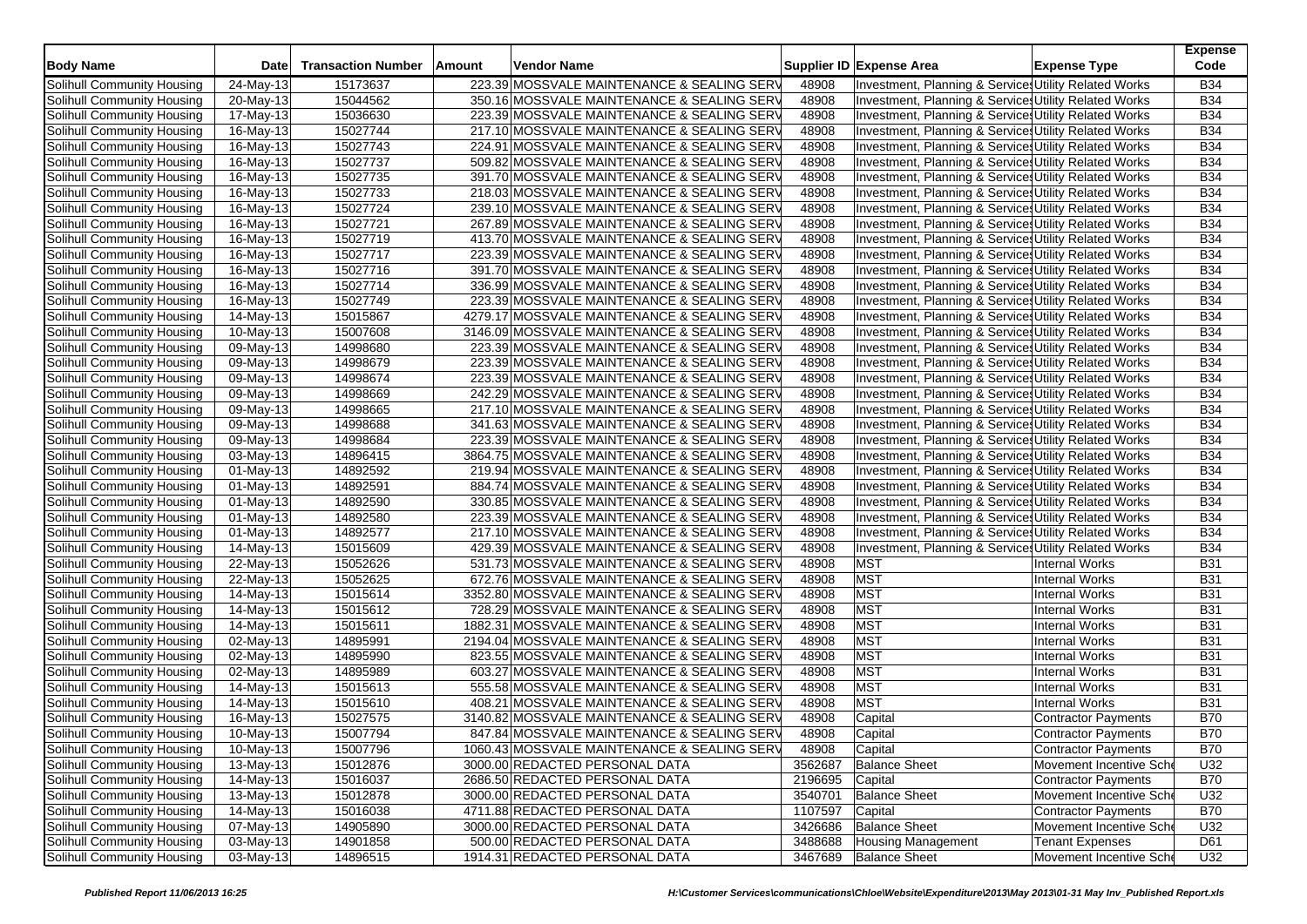| <b>Body Name</b>           | Date         | <b>Transaction Number</b> | Amount | <b>Vendor Name</b>                          |         | Supplier ID Expense Area                              | <b>Expense Type</b>        | <b>Expense</b><br>Code |
|----------------------------|--------------|---------------------------|--------|---------------------------------------------|---------|-------------------------------------------------------|----------------------------|------------------------|
| Solihull Community Housing | 24-May-13    | 15173637                  |        | 223.39 MOSSVALE MAINTENANCE & SEALING SERV  | 48908   | Investment, Planning & Service Utility Related Works  |                            | <b>B34</b>             |
| Solihull Community Housing | $20$ -May-13 | 15044562                  |        | 350.16 MOSSVALE MAINTENANCE & SEALING SERV  | 48908   | Investment, Planning & Service Utility Related Works  |                            | <b>B34</b>             |
| Solihull Community Housing | 17-May-13    | 15036630                  |        | 223.39 MOSSVALE MAINTENANCE & SEALING SERV  | 48908   | Investment, Planning & Services Utility Related Works |                            | <b>B34</b>             |
| Solihull Community Housing | 16-May-13    | 15027744                  |        | 217.10 MOSSVALE MAINTENANCE & SEALING SERV  | 48908   | Investment, Planning & Services Utility Related Works |                            | <b>B34</b>             |
| Solihull Community Housing | 16-May-13    | 15027743                  |        | 224.91 MOSSVALE MAINTENANCE & SEALING SERV  | 48908   | Investment, Planning & Service Utility Related Works  |                            | <b>B34</b>             |
| Solihull Community Housing | 16-May-13    | 15027737                  |        | 509.82 MOSSVALE MAINTENANCE & SEALING SERV  | 48908   | Investment, Planning & Services Utility Related Works |                            | <b>B34</b>             |
| Solihull Community Housing | 16-May-13    | 15027735                  |        | 391.70 MOSSVALE MAINTENANCE & SEALING SERV  | 48908   | Investment, Planning & Service Utility Related Works  |                            | <b>B34</b>             |
| Solihull Community Housing | 16-May-13    | 15027733                  |        | 218.03 MOSSVALE MAINTENANCE & SEALING SERV  | 48908   | Investment, Planning & Services Utility Related Works |                            | <b>B34</b>             |
| Solihull Community Housing | 16-May-13    | 15027724                  |        | 239.10 MOSSVALE MAINTENANCE & SEALING SERV  | 48908   | Investment, Planning & Services Utility Related Works |                            | <b>B34</b>             |
| Solihull Community Housing | 16-May-13    | 15027721                  |        | 267.89 MOSSVALE MAINTENANCE & SEALING SERV  | 48908   | Investment, Planning & Services Utility Related Works |                            | <b>B34</b>             |
| Solihull Community Housing | $16$ -May-13 | 15027719                  |        | 413.70 MOSSVALE MAINTENANCE & SEALING SERV  | 48908   | Investment, Planning & Services Utility Related Works |                            | <b>B34</b>             |
| Solihull Community Housing | 16-May-13    | 15027717                  |        | 223.39 MOSSVALE MAINTENANCE & SEALING SERV  | 48908   | Investment, Planning & Services Utility Related Works |                            | <b>B34</b>             |
| Solihull Community Housing | 16-May-13    | 15027716                  |        | 391.70 MOSSVALE MAINTENANCE & SEALING SERV  | 48908   | Investment, Planning & Services Utility Related Works |                            | <b>B34</b>             |
| Solihull Community Housing | 16-May-13    | 15027714                  |        | 336.99 MOSSVALE MAINTENANCE & SEALING SERV  | 48908   | Investment, Planning & Services Utility Related Works |                            | <b>B34</b>             |
| Solihull Community Housing | 16-May-13    | 15027749                  |        | 223.39 MOSSVALE MAINTENANCE & SEALING SERV  | 48908   | Investment, Planning & Services Utility Related Works |                            | <b>B34</b>             |
| Solihull Community Housing | 14-May-13    | 15015867                  |        | 4279.17 MOSSVALE MAINTENANCE & SEALING SERV | 48908   | Investment, Planning & Services Utility Related Works |                            | <b>B34</b>             |
| Solihull Community Housing | 10-May-13    | 15007608                  |        | 3146.09 MOSSVALE MAINTENANCE & SEALING SERV | 48908   | Investment, Planning & Services Utility Related Works |                            | <b>B34</b>             |
| Solihull Community Housing | 09-May-13    | 14998680                  |        | 223.39 MOSSVALE MAINTENANCE & SEALING SERV  | 48908   | Investment, Planning & Services Utility Related Works |                            | <b>B34</b>             |
| Solihull Community Housing | 09-May-13    | 14998679                  |        | 223.39 MOSSVALE MAINTENANCE & SEALING SERV  | 48908   | Investment, Planning & Services Utility Related Works |                            | <b>B34</b>             |
| Solihull Community Housing | 09-May-13    | 14998674                  |        | 223.39 MOSSVALE MAINTENANCE & SEALING SERV  | 48908   | Investment, Planning & Services Utility Related Works |                            | <b>B34</b>             |
| Solihull Community Housing | 09-May-13    | 14998669                  |        | 242.29 MOSSVALE MAINTENANCE & SEALING SERV  | 48908   | Investment, Planning & Service, Utility Related Works |                            | <b>B34</b>             |
| Solihull Community Housing | 09-May-13    | 14998665                  |        | 217.10 MOSSVALE MAINTENANCE & SEALING SERV  | 48908   | Investment, Planning & Services Utility Related Works |                            | <b>B34</b>             |
|                            |              | 14998688                  |        |                                             |         |                                                       |                            | <b>B34</b>             |
| Solihull Community Housing | 09-May-13    |                           |        | 341.63 MOSSVALE MAINTENANCE & SEALING SERV  | 48908   | Investment, Planning & Services Utility Related Works |                            |                        |
| Solihull Community Housing | 09-May-13    | 14998684                  |        | 223.39 MOSSVALE MAINTENANCE & SEALING SERV  | 48908   | Investment, Planning & Service Utility Related Works  |                            | <b>B34</b>             |
| Solihull Community Housing | 03-May-13    | 14896415                  |        | 3864.75 MOSSVALE MAINTENANCE & SEALING SERV | 48908   | Investment, Planning & Services Utility Related Works |                            | <b>B34</b>             |
| Solihull Community Housing | $01$ -May-13 | 14892592                  |        | 219.94 MOSSVALE MAINTENANCE & SEALING SERV  | 48908   | Investment, Planning & Services Utility Related Works |                            | <b>B34</b>             |
| Solihull Community Housing | $01$ -May-13 | 14892591                  |        | 884.74 MOSSVALE MAINTENANCE & SEALING SERV  | 48908   | Investment, Planning & Services Utility Related Works |                            | <b>B34</b>             |
| Solihull Community Housing | 01-May-13    | 14892590                  |        | 330.85 MOSSVALE MAINTENANCE & SEALING SERV  | 48908   | Investment, Planning & Services Utility Related Works |                            | <b>B34</b>             |
| Solihull Community Housing | $01$ -May-13 | 14892580                  |        | 223.39 MOSSVALE MAINTENANCE & SEALING SERV  | 48908   | Investment, Planning & Services Utility Related Works |                            | <b>B34</b>             |
| Solihull Community Housing | $01$ -May-13 | 14892577                  |        | 217.10 MOSSVALE MAINTENANCE & SEALING SERV  | 48908   | Investment, Planning & Services Utility Related Works |                            | <b>B34</b>             |
| Solihull Community Housing | 14-May-13    | 15015609                  |        | 429.39 MOSSVALE MAINTENANCE & SEALING SERV  | 48908   | Investment, Planning & Services Utility Related Works |                            | <b>B34</b>             |
| Solihull Community Housing | 22-May-13    | 15052626                  |        | 531.73 MOSSVALE MAINTENANCE & SEALING SERV  | 48908   | <b>MST</b>                                            | <b>Internal Works</b>      | <b>B31</b>             |
| Solihull Community Housing | 22-May-13    | 15052625                  |        | 672.76 MOSSVALE MAINTENANCE & SEALING SERV  | 48908   | <b>MST</b>                                            | <b>Internal Works</b>      | <b>B31</b>             |
| Solihull Community Housing | 14-May-13    | 15015614                  |        | 3352.80 MOSSVALE MAINTENANCE & SEALING SERV | 48908   | <b>MST</b>                                            | <b>Internal Works</b>      | <b>B31</b>             |
| Solihull Community Housing | 14-May-13    | 15015612                  |        | 728.29 MOSSVALE MAINTENANCE & SEALING SERV  | 48908   | <b>MST</b>                                            | <b>Internal Works</b>      | <b>B31</b>             |
| Solihull Community Housing | 14-May-13    | 15015611                  |        | 1882.31 MOSSVALE MAINTENANCE & SEALING SERV | 48908   | <b>MST</b>                                            | <b>Internal Works</b>      | <b>B31</b>             |
| Solihull Community Housing | 02-May-13    | 14895991                  |        | 2194.04 MOSSVALE MAINTENANCE & SEALING SERV | 48908   | <b>MST</b>                                            | <b>Internal Works</b>      | <b>B31</b>             |
| Solihull Community Housing | 02-May-13    | 14895990                  |        | 823.55 MOSSVALE MAINTENANCE & SEALING SERV  | 48908   | <b>MST</b>                                            | <b>Internal Works</b>      | <b>B31</b>             |
| Solihull Community Housing | 02-May-13    | 14895989                  |        | 603.27 MOSSVALE MAINTENANCE & SEALING SERV  | 48908   | <b>MST</b>                                            | <b>Internal Works</b>      | <b>B31</b>             |
| Solihull Community Housing | 14-May-13    | 15015613                  |        | 555.58 MOSSVALE MAINTENANCE & SEALING SERV  | 48908   | <b>MST</b>                                            | <b>Internal Works</b>      | <b>B31</b>             |
| Solihull Community Housing | 14-May-13    | 15015610                  |        | 408.21 MOSSVALE MAINTENANCE & SEALING SERV  | 48908   | <b>MST</b>                                            | <b>Internal Works</b>      | <b>B31</b>             |
| Solihull Community Housing | 16-May-13    | 15027575                  |        | 3140.82 MOSSVALE MAINTENANCE & SEALING SERV | 48908   | Capital                                               | Contractor Payments        | <b>B70</b>             |
| Solihull Community Housing | 10-May-13    | 15007794                  |        | 847.84 MOSSVALE MAINTENANCE & SEALING SERV  | 48908   | Capital                                               | Contractor Payments        | <b>B70</b>             |
| Solihull Community Housing | 10-May-13    | 15007796                  |        | 1060.43 MOSSVALE MAINTENANCE & SEALING SERV | 48908   | Capital                                               | <b>Contractor Payments</b> | <b>B70</b>             |
| Solihull Community Housing | 13-May-13    | 15012876                  |        | 3000.00 REDACTED PERSONAL DATA              | 3562687 | <b>Balance Sheet</b>                                  | Movement Incentive Sche    | U32                    |
| Solihull Community Housing | 14-May-13    | 15016037                  |        | 2686.50 REDACTED PERSONAL DATA              | 2196695 | Capital                                               | <b>Contractor Payments</b> | <b>B70</b>             |
| Solihull Community Housing | 13-May-13    | 15012878                  |        | 3000.00 REDACTED PERSONAL DATA              | 3540701 | <b>Balance Sheet</b>                                  | Movement Incentive Sche    | U32                    |
| Solihull Community Housing | 14-May-13    | 15016038                  |        | 4711.88 REDACTED PERSONAL DATA              | 1107597 | Capital                                               | Contractor Payments        | <b>B70</b>             |
| Solihull Community Housing | 07-May-13    | 14905890                  |        | 3000.00 REDACTED PERSONAL DATA              | 3426686 | <b>Balance Sheet</b>                                  | Movement Incentive Sche    | U32                    |
| Solihull Community Housing | 03-May-13    | 14901858                  |        | 500.00 REDACTED PERSONAL DATA               | 3488688 | Housing Management                                    | <b>Tenant Expenses</b>     | D61                    |
| Solihull Community Housing | 03-May-13    | 14896515                  |        | 1914.31 REDACTED PERSONAL DATA              |         | 3467689 Balance Sheet                                 | Movement Incentive Sche    | U32                    |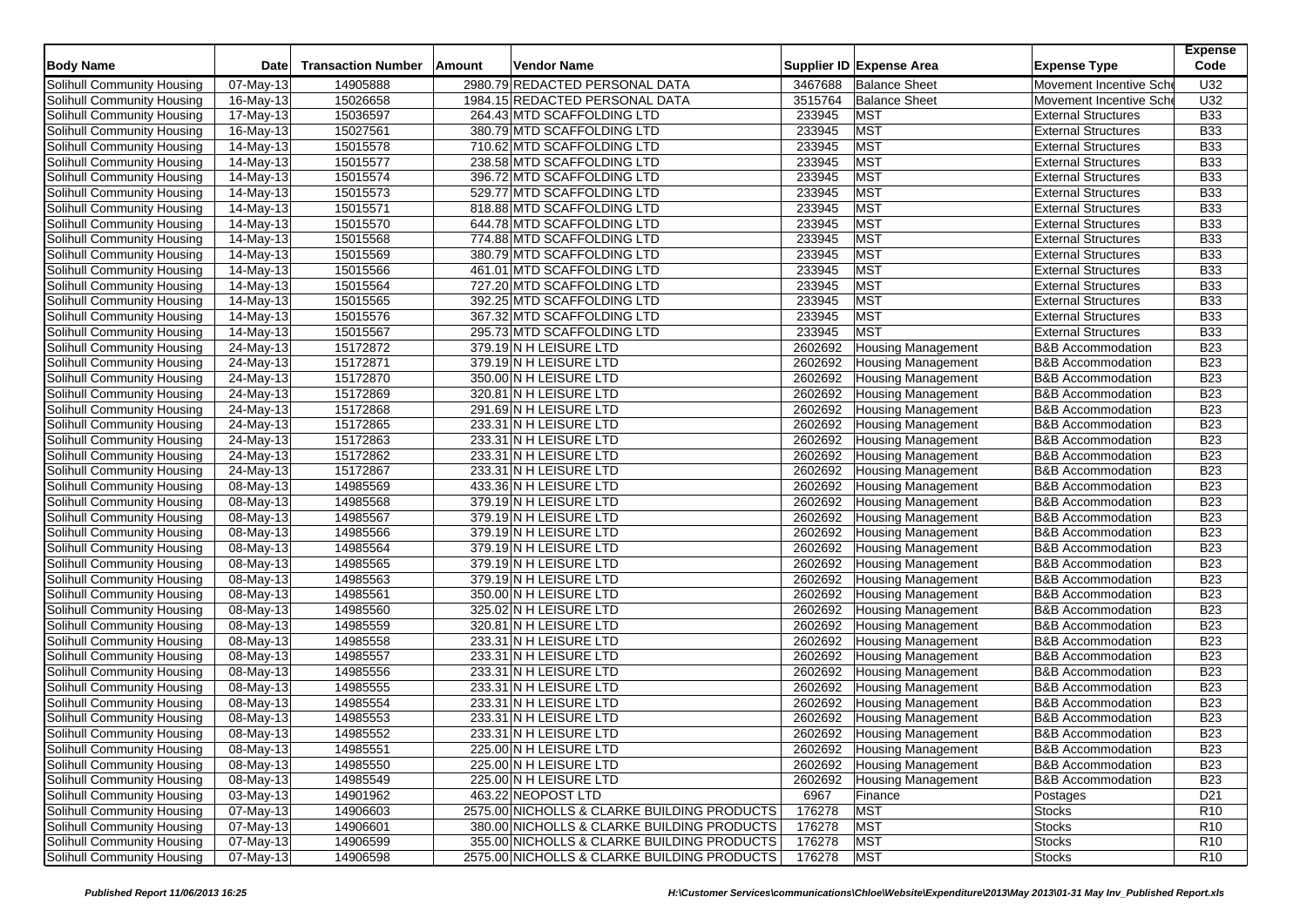| <b>Body Name</b>           | <b>Date</b>             | <b>Transaction Number</b> | Amount | Vendor Name                                 |         | Supplier ID Expense Area  | <b>Expense Type</b>          | <b>Expense</b><br>Code |
|----------------------------|-------------------------|---------------------------|--------|---------------------------------------------|---------|---------------------------|------------------------------|------------------------|
| Solihull Community Housing | 07-May-13               | 14905888                  |        | 2980.79 REDACTED PERSONAL DATA              | 3467688 | <b>Balance Sheet</b>      | Movement Incentive Sche      | U32                    |
| Solihull Community Housing | 16-May-13               | 15026658                  |        | 1984.15 REDACTED PERSONAL DATA              | 3515764 | <b>Balance Sheet</b>      | Movement Incentive Sche      | U32                    |
| Solihull Community Housing | 17-May-13               | 15036597                  |        | 264.43 MTD SCAFFOLDING LTD                  | 233945  | MST                       | <b>External Structures</b>   | <b>B33</b>             |
| Solihull Community Housing | 16-May-13               | 15027561                  |        | 380.79 MTD SCAFFOLDING LTD                  | 233945  | <b>MST</b>                | <b>External Structures</b>   | <b>B33</b>             |
| Solihull Community Housing | 14-May-13               | 15015578                  |        | 710.62 MTD SCAFFOLDING LTD                  | 233945  | <b>MST</b>                | <b>External Structures</b>   | <b>B33</b>             |
| Solihull Community Housing | 14-May-13               | 15015577                  |        | 238.58 MTD SCAFFOLDING LTD                  | 233945  | <b>MST</b>                | <b>External Structures</b>   | <b>B33</b>             |
| Solihull Community Housing | $\overline{1}$ 4-May-13 | 15015574                  |        | 396.72 MTD SCAFFOLDING LTD                  | 233945  | <b>MST</b>                | <b>External Structures</b>   | <b>B33</b>             |
| Solihull Community Housing | 14-May-13               | 15015573                  |        | 529.77 MTD SCAFFOLDING LTD                  | 233945  | <b>MST</b>                | <b>External Structures</b>   | <b>B33</b>             |
| Solihull Community Housing | 14-May-13               | 15015571                  |        | 818.88 MTD SCAFFOLDING LTD                  | 233945  | MST                       | <b>External Structures</b>   | <b>B33</b>             |
| Solihull Community Housing | 14-May-13               | 15015570                  |        | 644.78 MTD SCAFFOLDING LTD                  | 233945  | <b>MST</b>                | <b>External Structures</b>   | <b>B33</b>             |
| Solihull Community Housing | 14-May-13               | 15015568                  |        | 774.88 MTD SCAFFOLDING LTD                  | 233945  | <b>MST</b>                | <b>External Structures</b>   | <b>B33</b>             |
| Solihull Community Housing | 14-May-13               | 15015569                  |        | 380.79 MTD SCAFFOLDING LTD                  | 233945  | MST                       | <b>External Structures</b>   | <b>B33</b>             |
| Solihull Community Housing | 14-May-13               | 15015566                  |        | 461.01 MTD SCAFFOLDING LTD                  | 233945  | <b>MST</b>                | <b>External Structures</b>   | <b>B33</b>             |
| Solihull Community Housing | 14-May-13               | 15015564                  |        | 727.20 MTD SCAFFOLDING LTD                  | 233945  | <b>MST</b>                | <b>External Structures</b>   | <b>B33</b>             |
| Solihull Community Housing | $14$ -May-13            | 15015565                  |        | 392.25 MTD SCAFFOLDING LTD                  | 233945  | <b>MST</b>                | <b>External Structures</b>   | <b>B33</b>             |
| Solihull Community Housing | 14-May-13               | 15015576                  |        | 367.32 MTD SCAFFOLDING LTD                  | 233945  | <b>MST</b>                | <b>External Structures</b>   | <b>B33</b>             |
| Solihull Community Housing | 14-May-13               | 15015567                  |        | 295.73 MTD SCAFFOLDING LTD                  | 233945  | <b>MST</b>                | <b>External Structures</b>   | <b>B33</b>             |
| Solihull Community Housing | 24-May-13               | 15172872                  |        | 379.19 N H LEISURE LTD                      | 2602692 | <b>Housing Management</b> | <b>B&amp;B</b> Accommodation | <b>B23</b>             |
| Solihull Community Housing | 24-May-13               | 15172871                  |        | 379.19 N H LEISURE LTD                      | 2602692 | <b>Housing Management</b> | <b>B&amp;B Accommodation</b> | <b>B23</b>             |
| Solihull Community Housing | 24-May-13               | 15172870                  |        | 350.00 N H LEISURE LTD                      | 2602692 | <b>Housing Management</b> | <b>B&amp;B Accommodation</b> | <b>B23</b>             |
| Solihull Community Housing | 24-May-13               | 15172869                  |        | 320.81 N H LEISURE LTD                      | 2602692 | <b>Housing Management</b> | <b>B&amp;B Accommodation</b> | <b>B23</b>             |
| Solihull Community Housing | 24-May-13               | 15172868                  |        | 291.69 N H LEISURE LTD                      | 2602692 | <b>Housing Management</b> | <b>B&amp;B Accommodation</b> | <b>B23</b>             |
| Solihull Community Housing | 24-May-13               | 15172865                  |        | 233.31 N H LEISURE LTD                      | 2602692 | <b>Housing Management</b> | <b>B&amp;B Accommodation</b> | <b>B23</b>             |
| Solihull Community Housing | 24-May-13               | 15172863                  |        | 233.31 N H LEISURE LTD                      | 2602692 | <b>Housing Management</b> | <b>B&amp;B</b> Accommodation | <b>B23</b>             |
| Solihull Community Housing | 24-May-13               | 15172862                  |        | 233.31 N H LEISURE LTD                      | 2602692 | <b>Housing Management</b> | <b>B&amp;B Accommodation</b> | <b>B23</b>             |
| Solihull Community Housing | 24-May-13               | 15172867                  |        | 233.31 N H LEISURE LTD                      | 2602692 | <b>Housing Management</b> | <b>B&amp;B Accommodation</b> | <b>B23</b>             |
| Solihull Community Housing | 08-May-13               | 14985569                  |        | 433.36 N H LEISURE LTD                      | 2602692 | <b>Housing Management</b> | <b>B&amp;B Accommodation</b> | <b>B23</b>             |
| Solihull Community Housing | 08-May-13               | 14985568                  |        | 379.19 N H LEISURE LTD                      | 2602692 | <b>Housing Management</b> | <b>B&amp;B Accommodation</b> | <b>B23</b>             |
| Solihull Community Housing | 08-May-13               | 14985567                  |        | 379.19 N H LEISURE LTD                      | 2602692 | <b>Housing Management</b> | <b>B&amp;B Accommodation</b> | <b>B23</b>             |
| Solihull Community Housing | 08-May-13               | 14985566                  |        | 379.19 N H LEISURE LTD                      | 2602692 | <b>Housing Management</b> | <b>B&amp;B Accommodation</b> | <b>B23</b>             |
| Solihull Community Housing | 08-May-13               | 14985564                  |        | 379.19 N H LEISURE LTD                      | 2602692 | <b>Housing Management</b> | <b>B&amp;B Accommodation</b> | <b>B23</b>             |
| Solihull Community Housing | 08-May-13               | 14985565                  |        | 379.19 N H LEISURE LTD                      | 2602692 | <b>Housing Management</b> | <b>B&amp;B</b> Accommodation | <b>B23</b>             |
| Solihull Community Housing | 08-May-13               | 14985563                  |        | 379.19 N H LEISURE LTD                      | 2602692 | <b>Housing Management</b> | <b>B&amp;B Accommodation</b> | <b>B23</b>             |
| Solihull Community Housing | 08-May-13               | 14985561                  |        | 350.00 N H LEISURE LTD                      | 2602692 | <b>Housing Management</b> | <b>B&amp;B Accommodation</b> | <b>B23</b>             |
| Solihull Community Housing | 08-May-13               | 14985560                  |        | 325.02 N H LEISURE LTD                      | 2602692 | <b>Housing Management</b> | <b>B&amp;B</b> Accommodation | <b>B23</b>             |
| Solihull Community Housing | 08-May-13               | 14985559                  |        | 320.81 N H LEISURE LTD                      | 2602692 | <b>Housing Management</b> | <b>B&amp;B Accommodation</b> | <b>B23</b>             |
| Solihull Community Housing | 08-May-13               | 14985558                  |        | 233.31 N H LEISURE LTD                      | 2602692 | <b>Housing Management</b> | <b>B&amp;B Accommodation</b> | <b>B23</b>             |
| Solihull Community Housing | 08-May-13               | 14985557                  |        | 233.31 N H LEISURE LTD                      | 2602692 | <b>Housing Management</b> | <b>B&amp;B</b> Accommodation | <b>B23</b>             |
| Solihull Community Housing | 08-May-13               | 14985556                  |        | 233.31 N H LEISURE LTD                      | 2602692 | <b>Housing Management</b> | <b>B&amp;B Accommodation</b> | <b>B23</b>             |
| Solihull Community Housing | 08-May-13               | 14985555                  |        | 233.31 N H LEISURE LTD                      | 2602692 | <b>Housing Management</b> | <b>B&amp;B Accommodation</b> | <b>B23</b>             |
| Solihull Community Housing | 08-May-13               | 14985554                  |        | 233.31 N H LEISURE LTD                      | 2602692 | <b>Housing Management</b> | <b>B&amp;B Accommodation</b> | <b>B23</b>             |
| Solihull Community Housing | 08-May-13               | 14985553                  |        | 233.31 N H LEISURE LTD                      | 2602692 | <b>Housing Management</b> | <b>B&amp;B Accommodation</b> | <b>B23</b>             |
| Solihull Community Housing | 08-May-13               | 14985552                  |        | 233.31 N H LEISURE LTD                      | 2602692 | <b>Housing Management</b> | <b>B&amp;B Accommodation</b> | <b>B23</b>             |
| Solihull Community Housing | 08-May- $\overline{13}$ | 14985551                  |        | 225.00 N H LEISURE LTD                      | 2602692 | <b>Housing Management</b> | <b>B&amp;B Accommodation</b> | <b>B23</b>             |
| Solihull Community Housing | 08-May-13               | 14985550                  |        | 225.00 N H LEISURE LTD                      | 2602692 | <b>Housing Management</b> | <b>B&amp;B Accommodation</b> | <b>B23</b>             |
| Solihull Community Housing | 08-May-13               | 14985549                  |        | 225.00 N H LEISURE LTD                      | 2602692 | <b>Housing Management</b> | <b>B&amp;B Accommodation</b> | <b>B23</b>             |
| Solihull Community Housing | $\overline{03}$ -May-13 | 14901962                  |        | 463.22 NEOPOST LTD                          | 6967    | Finance                   | Postages                     | D <sub>21</sub>        |
| Solihull Community Housing | 07-May-13               | 14906603                  |        | 2575.00 NICHOLLS & CLARKE BUILDING PRODUCTS | 176278  | <b>MST</b>                | <b>Stocks</b>                | R <sub>10</sub>        |
| Solihull Community Housing | 07-May-13               | 14906601                  |        | 380.00 NICHOLLS & CLARKE BUILDING PRODUCTS  | 176278  | <b>MST</b>                | <b>Stocks</b>                | R <sub>10</sub>        |
| Solihull Community Housing | 07-May-13               | 14906599                  |        | 355.00 NICHOLLS & CLARKE BUILDING PRODUCTS  | 176278  | <b>MST</b>                | <b>Stocks</b>                | R <sub>10</sub>        |
| Solihull Community Housing | 07-May-13               | 14906598                  |        | 2575.00 NICHOLLS & CLARKE BUILDING PRODUCTS | 176278  | <b>MST</b>                | <b>Stocks</b>                | <b>R10</b>             |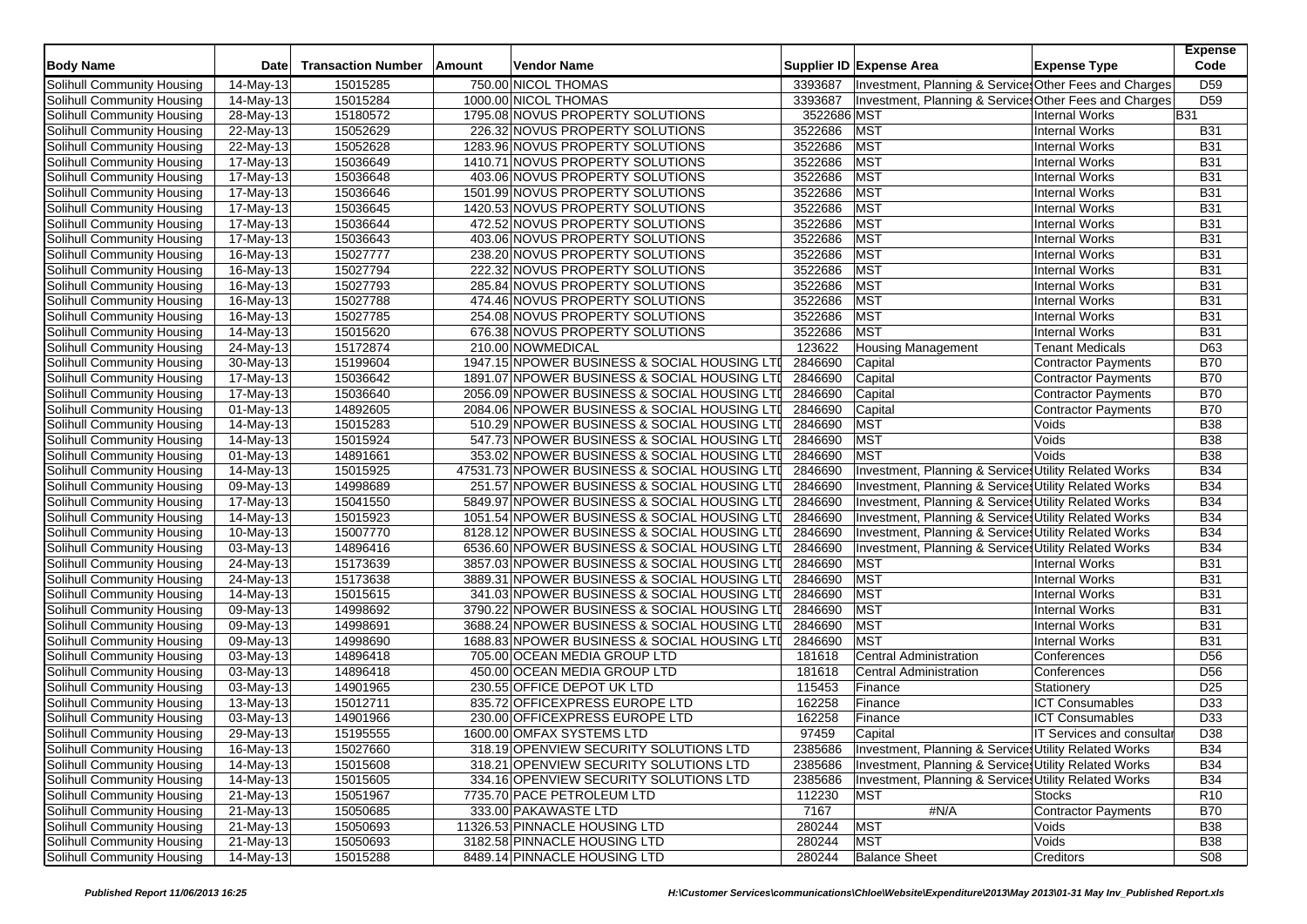| <b>Body Name</b>                  | <b>Date</b>             | <b>Transaction Number</b> | Amount | <b>Vendor Name</b>                            |             | Supplier ID Expense Area                               | <b>Expense Type</b>              | <b>Expense</b><br>Code |
|-----------------------------------|-------------------------|---------------------------|--------|-----------------------------------------------|-------------|--------------------------------------------------------|----------------------------------|------------------------|
| Solihull Community Housing        | 14-May-13               | 15015285                  |        | 750.00 NICOL THOMAS                           | 3393687     | Investment, Planning & Services Other Fees and Charges |                                  | D <sub>59</sub>        |
| Solihull Community Housing        | 14-May-13               | 15015284                  |        | 1000.00 NICOL THOMAS                          | 3393687     | Investment, Planning & Services Other Fees and Charges |                                  | D <sub>59</sub>        |
| Solihull Community Housing        | $28-May-13$             | 15180572                  |        | 1795.08 NOVUS PROPERTY SOLUTIONS              | 3522686 MST |                                                        | <b>Internal Works</b>            | <b>B31</b>             |
| Solihull Community Housing        | 22-May-13               | 15052629                  |        | 226.32 NOVUS PROPERTY SOLUTIONS               | 3522686     | <b>MST</b>                                             | <b>Internal Works</b>            | <b>B31</b>             |
| Solihull Community Housing        | 22-May-13               | 15052628                  |        | 1283.96 NOVUS PROPERTY SOLUTIONS              | 3522686     | <b>MST</b>                                             | <b>Internal Works</b>            | <b>B31</b>             |
| Solihull Community Housing        | $\overline{17}$ -May-13 | 15036649                  |        | 1410.71 NOVUS PROPERTY SOLUTIONS              | 3522686     | <b>MST</b>                                             | <b>Internal Works</b>            | <b>B31</b>             |
| Solihull Community Housing        | 17-May-13               | 15036648                  |        | 403.06 NOVUS PROPERTY SOLUTIONS               | 3522686     | <b>MST</b>                                             | <b>Internal Works</b>            | <b>B31</b>             |
| Solihull Community Housing        | 17-May-13               | 15036646                  |        | 1501.99 NOVUS PROPERTY SOLUTIONS              | 3522686     | <b>MST</b>                                             | <b>Internal Works</b>            | <b>B31</b>             |
| Solihull Community Housing        | 17-May-13               | 15036645                  |        | 1420.53 NOVUS PROPERTY SOLUTIONS              | 3522686     | <b>MST</b>                                             | <b>Internal Works</b>            | <b>B31</b>             |
| Solihull Community Housing        | 17-May-13               | 15036644                  |        | 472.52 NOVUS PROPERTY SOLUTIONS               | 3522686     | <b>MST</b>                                             | <b>Internal Works</b>            | <b>B31</b>             |
| Solihull Community Housing        | 17-May-13               | 15036643                  |        | 403.06 NOVUS PROPERTY SOLUTIONS               | 3522686     | <b>MST</b>                                             | <b>Internal Works</b>            | <b>B31</b>             |
| Solihull Community Housing        | 16-May-13               | 15027777                  |        | 238.20 NOVUS PROPERTY SOLUTIONS               | 3522686     | <b>MST</b>                                             | <b>Internal Works</b>            | <b>B31</b>             |
| Solihull Community Housing        | 16-May-13               | 15027794                  |        | 222.32 NOVUS PROPERTY SOLUTIONS               | 3522686     | <b>MST</b>                                             | <b>Internal Works</b>            | <b>B31</b>             |
| Solihull Community Housing        | 16-May-13               | 15027793                  |        | 285.84 NOVUS PROPERTY SOLUTIONS               | 3522686     | <b>MST</b>                                             | <b>Internal Works</b>            | <b>B31</b>             |
| Solihull Community Housing        | 16-May-13               | 15027788                  |        | 474.46 NOVUS PROPERTY SOLUTIONS               | 3522686     | <b>MST</b>                                             | <b>Internal Works</b>            | <b>B31</b>             |
| Solihull Community Housing        | 16-May-13               | 15027785                  |        | 254.08 NOVUS PROPERTY SOLUTIONS               | 3522686     | <b>MST</b>                                             | <b>Internal Works</b>            | <b>B31</b>             |
| Solihull Community Housing        | 14-May-13               | 15015620                  |        | 676.38 NOVUS PROPERTY SOLUTIONS               | 3522686     | <b>MST</b>                                             | <b>Internal Works</b>            | <b>B31</b>             |
| Solihull Community Housing        | 24-May-13               | 15172874                  |        | 210.00 NOWMEDICAL                             | 123622      | <b>Housing Management</b>                              | <b>Tenant Medicals</b>           | D63                    |
| Solihull Community Housing        | 30-May-13               | 15199604                  |        | 1947.15 NPOWER BUSINESS & SOCIAL HOUSING LTI  | 2846690     | Capital                                                | <b>Contractor Payments</b>       | <b>B70</b>             |
| Solihull Community Housing        | 17-May-13               | 15036642                  |        | 1891.07 NPOWER BUSINESS & SOCIAL HOUSING LTI  | 2846690     | Capital                                                | Contractor Payments              | <b>B70</b>             |
| Solihull Community Housing        | 17-May-13               | 15036640                  |        | 2056.09 NPOWER BUSINESS & SOCIAL HOUSING LTI  | 2846690     | Capital                                                | Contractor Payments              | <b>B70</b>             |
| Solihull Community Housing        | $\overline{01-M}$ ay-13 | 14892605                  |        | 2084.06 NPOWER BUSINESS & SOCIAL HOUSING LTI  | 2846690     | Capital                                                | <b>Contractor Payments</b>       | <b>B70</b>             |
| Solihull Community Housing        | 14-May-13               | 15015283                  |        | 510.29 NPOWER BUSINESS & SOCIAL HOUSING LTI   | 2846690     | <b>MST</b>                                             | Voids                            | <b>B38</b>             |
| Solihull Community Housing        | 14-May-13               | 15015924                  |        | 547.73 NPOWER BUSINESS & SOCIAL HOUSING LTI   | 2846690     | <b>MST</b>                                             | Voids                            | <b>B38</b>             |
| Solihull Community Housing        | 01-May-13               | 14891661                  |        | 353.02 NPOWER BUSINESS & SOCIAL HOUSING LTI   | 2846690     | <b>MST</b>                                             | Voids                            | <b>B38</b>             |
| Solihull Community Housing        | 14-May-13               | 15015925                  |        | 47531.73 NPOWER BUSINESS & SOCIAL HOUSING LTI | 2846690     | Investment, Planning & Services Utility Related Works  |                                  | <b>B34</b>             |
| Solihull Community Housing        | 09-May-13               | 14998689                  |        | 251.57 NPOWER BUSINESS & SOCIAL HOUSING LTI   | 2846690     | Investment, Planning & Services Utility Related Works  |                                  | <b>B34</b>             |
| Solihull Community Housing        | $\overline{17}$ -May-13 | 15041550                  |        | 5849.97 NPOWER BUSINESS & SOCIAL HOUSING LTI  | 2846690     | Investment, Planning & Services Utility Related Works  |                                  | <b>B34</b>             |
| Solihull Community Housing        | 14-May-13               | 15015923                  |        | 1051.54 NPOWER BUSINESS & SOCIAL HOUSING LTI  | 2846690     | Investment, Planning & Services Utility Related Works  |                                  | <b>B34</b>             |
| Solihull Community Housing        | 10-May-13               | 15007770                  |        | 8128.12 NPOWER BUSINESS & SOCIAL HOUSING LTI  | 2846690     | Investment, Planning & Services Utility Related Works  |                                  | <b>B34</b>             |
| Solihull Community Housing        | $\overline{0}$ 3-May-13 | 14896416                  |        | 6536.60 NPOWER BUSINESS & SOCIAL HOUSING LTI  | 2846690     | Investment, Planning & Services Utility Related Works  |                                  | <b>B34</b>             |
| Solihull Community Housing        | 24-May-13               | 15173639                  |        | 3857.03 NPOWER BUSINESS & SOCIAL HOUSING LTI  | 2846690     | <b>MST</b>                                             | <b>Internal Works</b>            | <b>B31</b>             |
| Solihull Community Housing        | 24-May-13               | 15173638                  |        | 3889.31 NPOWER BUSINESS & SOCIAL HOUSING LTI  | 2846690     | <b>MST</b>                                             | <b>Internal Works</b>            | <b>B31</b>             |
| Solihull Community Housing        | 14-May-13               | 15015615                  |        | 341.03 NPOWER BUSINESS & SOCIAL HOUSING LTI   | 2846690     | <b>MST</b>                                             | <b>Internal Works</b>            | <b>B31</b>             |
| Solihull Community Housing        | 09-May-13               | 14998692                  |        | 3790.22 NPOWER BUSINESS & SOCIAL HOUSING LTI  | 2846690     | <b>MST</b>                                             | <b>Internal Works</b>            | <b>B31</b>             |
| Solihull Community Housing        | 09-May-13               | 14998691                  |        | 3688.24 NPOWER BUSINESS & SOCIAL HOUSING LTI  | 2846690     | <b>MST</b>                                             | <b>Internal Works</b>            | <b>B31</b>             |
| Solihull Community Housing        | 09-May-13               | 14998690                  |        | 1688.83 NPOWER BUSINESS & SOCIAL HOUSING LTI  | 2846690     | <b>MST</b>                                             | <b>Internal Works</b>            | <b>B31</b>             |
| Solihull Community Housing        | 03-May-13               | 14896418                  |        | 705.00 OCEAN MEDIA GROUP LTD                  | 181618      | <b>Central Administration</b>                          | Conferences                      | D <sub>56</sub>        |
| Solihull Community Housing        | 03-May-13               | 14896418                  |        | 450.00 OCEAN MEDIA GROUP LTD                  | 181618      | <b>Central Administration</b>                          | Conferences                      | D <sub>56</sub>        |
| Solihull Community Housing        | 03-May-13               | 14901965                  |        | 230.55 OFFICE DEPOT UK LTD                    | 115453      | Finance                                                | Stationery                       | D <sub>25</sub>        |
| Solihull Community Housing        | 13-May-13               | 15012711                  |        | 835.72 OFFICEXPRESS EUROPE LTD                | 162258      | Finance                                                | <b>ICT Consumables</b>           | D <sub>33</sub>        |
| Solihull Community Housing        | 03-May-13               | 14901966                  |        | 230.00 OFFICEXPRESS EUROPE LTD                | 162258      | Finance                                                | <b>ICT Consumables</b>           | D33                    |
| Solihull Community Housing        | 29-May-13               | 15195555                  |        | 1600.00 OMFAX SYSTEMS LTD                     | 97459       | Capital                                                | <b>IT Services and consultar</b> | D38                    |
| Solihull Community Housing        | 16-May-13               | 15027660                  |        | 318.19 OPENVIEW SECURITY SOLUTIONS LTD        | 2385686     | Investment, Planning & Service: Utility Related Works  |                                  | <b>B34</b>             |
| Solihull Community Housing        | 14-May-13               | 15015608                  |        | 318.21 OPENVIEW SECURITY SOLUTIONS LTD        | 2385686     | Investment, Planning & Services Utility Related Works  |                                  | <b>B34</b>             |
| Solihull Community Housing        | 14-May-13               | 15015605                  |        | 334.16 OPENVIEW SECURITY SOLUTIONS LTD        | 2385686     | Investment, Planning & Services Utility Related Works  |                                  | <b>B34</b>             |
| Solihull Community Housing        | 21-May-13               | 15051967                  |        | 7735.70 PACE PETROLEUM LTD                    | 112230      | <b>MST</b>                                             | <b>Stocks</b>                    | R <sub>10</sub>        |
| Solihull Community Housing        | 21-May-13               | 15050685                  |        | 333.00 PAKAWASTE LTD                          | 7167        | #N/A                                                   | <b>Contractor Payments</b>       | <b>B70</b>             |
| Solihull Community Housing        | 21-May-13               | 15050693                  |        | 11326.53 PINNACLE HOUSING LTD                 | 280244      | <b>MST</b>                                             | Voids                            | <b>B38</b>             |
| <b>Solihull Community Housing</b> | 21-May-13               | 15050693                  |        | 3182.58 PINNACLE HOUSING LTD                  | 280244      | <b>MST</b>                                             | Voids                            | <b>B</b> 38            |
| Solihull Community Housing        |                         | 15015288                  |        | 8489.14 PINNACLE HOUSING LTD                  | 280244      | <b>Balance Sheet</b>                                   | Creditors                        | <b>S08</b>             |
|                                   | 14-May-13               |                           |        |                                               |             |                                                        |                                  |                        |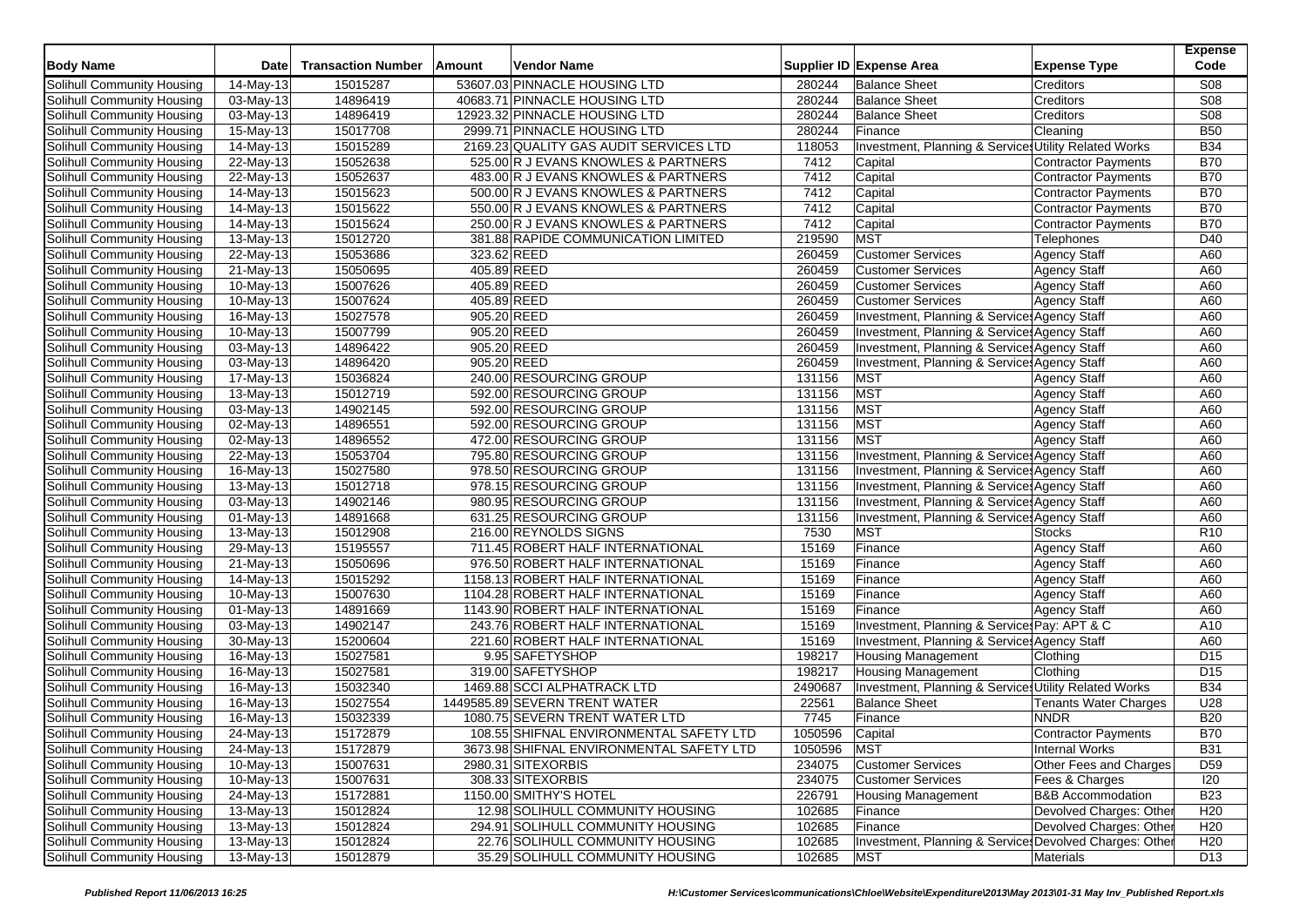| <b>Body Name</b>                  | <b>Date</b>             | <b>Transaction Number</b> | Amount      | <b>Vendor Name</b>                       |         | Supplier ID Expense Area                               | <b>Expense Type</b>          | <b>Expense</b><br>Code |
|-----------------------------------|-------------------------|---------------------------|-------------|------------------------------------------|---------|--------------------------------------------------------|------------------------------|------------------------|
| Solihull Community Housing        | 14-May-13               | 15015287                  |             | 53607.03 PINNACLE HOUSING LTD            | 280244  | <b>Balance Sheet</b>                                   | Creditors                    | S08                    |
| Solihull Community Housing        | 03-May-13               | 14896419                  |             | 40683.71 PINNACLE HOUSING LTD            | 280244  | <b>Balance Sheet</b>                                   | Creditors                    | S08                    |
| Solihull Community Housing        | 03-May-13               | 14896419                  |             | 12923.32 PINNACLE HOUSING LTD            | 280244  | <b>Balance Sheet</b>                                   | Creditors                    | <b>S08</b>             |
| Solihull Community Housing        | $\overline{15}$ -May-13 | 15017708                  |             | 2999.71 PINNACLE HOUSING LTD             | 280244  | Finance                                                | Cleaning                     | <b>B50</b>             |
| Solihull Community Housing        | 14-May-13               | 15015289                  |             | 2169.23 QUALITY GAS AUDIT SERVICES LTD   | 118053  | Investment, Planning & Services Utility Related Works  |                              | <b>B34</b>             |
| Solihull Community Housing        | 22-May-13               | 15052638                  |             | 525.00 R J EVANS KNOWLES & PARTNERS      | 7412    | Capital                                                | Contractor Payments          | <b>B70</b>             |
| Solihull Community Housing        | 22-May-13               | 15052637                  |             | 483.00 R J EVANS KNOWLES & PARTNERS      | 7412    | Capital                                                | Contractor Payments          | <b>B70</b>             |
| Solihull Community Housing        | 14-May-13               | 15015623                  |             | 500.00 R J EVANS KNOWLES & PARTNERS      | 7412    | Capital                                                | <b>Contractor Payments</b>   | <b>B70</b>             |
| Solihull Community Housing        | 14-May-13               | 15015622                  |             | 550.00 R J EVANS KNOWLES & PARTNERS      | 7412    | Capital                                                | <b>Contractor Payments</b>   | <b>B70</b>             |
| Solihull Community Housing        | $\overline{14}$ -May-13 | 15015624                  |             | 250.00 R J EVANS KNOWLES & PARTNERS      | 7412    | Capital                                                | Contractor Payments          | <b>B70</b>             |
| Solihull Community Housing        | 13-May-13               | 15012720                  |             | 381.88 RAPIDE COMMUNICATION LIMITED      | 219590  | <b>MST</b>                                             | Telephones                   | D40                    |
| Solihull Community Housing        | 22-May-13               | 15053686                  |             | 323.62 REED                              | 260459  | <b>Customer Services</b>                               | Agency Staff                 | A60                    |
| Solihull Community Housing        | 21-May-13               | 15050695                  |             | 405.89 REED                              | 260459  | <b>Customer Services</b>                               | <b>Agency Staff</b>          | A60                    |
| Solihull Community Housing        | 10-May-13               | 15007626                  | 405.89 REED |                                          | 260459  | <b>Customer Services</b>                               | Agency Staff                 | A60                    |
| Solihull Community Housing        | 10-May-13               | 15007624                  |             | 405.89 REED                              | 260459  | <b>Customer Services</b>                               | <b>Agency Staff</b>          | A60                    |
| Solihull Community Housing        | 16-May-13               | 15027578                  |             | 905.20 REED                              | 260459  | Investment, Planning & Services Agency Staff           |                              | A60                    |
| Solihull Community Housing        |                         | 15007799                  | 905.20 REED |                                          | 260459  | Investment, Planning & Services Agency Staff           |                              | A60                    |
| Solihull Community Housing        | 10-May-13               | 14896422                  | 905.20 REED |                                          | 260459  | Investment, Planning & Services Agency Staff           |                              | A60                    |
|                                   | 03-May-13               |                           | 905.20 REED |                                          |         |                                                        |                              |                        |
| Solihull Community Housing        | 03-May-13               | 14896420                  |             | 240.00 RESOURCING GROUP                  | 260459  | Investment, Planning & Services Agency Staff           |                              | A60<br>A60             |
| Solihull Community Housing        | 17-May-13               | 15036824                  |             |                                          | 131156  | <b>MST</b>                                             | <b>Agency Staff</b>          |                        |
| Solihull Community Housing        | 13-May-13               | 15012719                  |             | 592.00 RESOURCING GROUP                  | 131156  | <b>MST</b>                                             | <b>Agency Staff</b>          | A60                    |
| Solihull Community Housing        | 03-May-13               | 14902145                  |             | 592.00 RESOURCING GROUP                  | 131156  | <b>MST</b>                                             | <b>Agency Staff</b>          | A60                    |
| Solihull Community Housing        | 02-May-13               | 14896551                  |             | 592.00 RESOURCING GROUP                  | 131156  | <b>MST</b>                                             | Agency Staff                 | A60                    |
| Solihull Community Housing        | 02-May-13               | 14896552                  |             | 472.00 RESOURCING GROUP                  | 131156  | <b>MST</b>                                             | <b>Agency Staff</b>          | A60                    |
| Solihull Community Housing        | 22-May-13               | 15053704                  |             | 795.80 RESOURCING GROUP                  | 131156  | Investment, Planning & Services Agency Staff           |                              | A60                    |
| Solihull Community Housing        | 16-May-13               | 15027580                  |             | 978.50 RESOURCING GROUP                  | 131156  | Investment, Planning & Services Agency Staff           |                              | A60                    |
| Solihull Community Housing        | 13-May-13               | 15012718                  |             | 978.15 RESOURCING GROUP                  | 131156  | Investment, Planning & Services Agency Staff           |                              | A60                    |
| Solihull Community Housing        | 03-May-13               | 14902146                  |             | 980.95 RESOURCING GROUP                  | 131156  | Investment, Planning & Services Agency Staff           |                              | A60                    |
| Solihull Community Housing        | 01-May-13               | 14891668                  |             | 631.25 RESOURCING GROUP                  | 131156  | Investment, Planning & Services Agency Staff           |                              | A60                    |
| Solihull Community Housing        | $13-May-13$             | 15012908                  |             | 216.00 REYNOLDS SIGNS                    | 7530    | <b>MST</b>                                             | <b>Stocks</b>                | R <sub>10</sub>        |
| Solihull Community Housing        | 29-May-13               | 15195557                  |             | 711.45 ROBERT HALF INTERNATIONAL         | 15169   | Finance                                                | <b>Agency Staff</b>          | A60                    |
| Solihull Community Housing        | 21-May-13               | 15050696                  |             | 976.50 ROBERT HALF INTERNATIONAL         | 15169   | Finance                                                | <b>Agency Staff</b>          | A60                    |
| Solihull Community Housing        | 14-May-13               | 15015292                  |             | 1158.13 ROBERT HALF INTERNATIONAL        | 15169   | Finance                                                | <b>Agency Staff</b>          | A60                    |
| Solihull Community Housing        | 10-May-13               | 15007630                  |             | 1104.28 ROBERT HALF INTERNATIONAL        | 15169   | Finance                                                | <b>Agency Staff</b>          | A60                    |
| Solihull Community Housing        | $01$ -May-13            | 14891669                  |             | 1143.90 ROBERT HALF INTERNATIONAL        | 15169   | Finance                                                | <b>Agency Staff</b>          | A60                    |
| Solihull Community Housing        | 03-May-13               | 14902147                  |             | 243.76 ROBERT HALF INTERNATIONAL         | 15169   | Investment, Planning & Services Pay: APT & C           |                              | A10                    |
| Solihull Community Housing        | 30-May-13               | 15200604                  |             | 221.60 ROBERT HALF INTERNATIONAL         | 15169   | Investment, Planning & Service: Agency Staff           |                              | A60                    |
| Solihull Community Housing        | 16-May-13               | 15027581                  |             | 9.95 SAFETYSHOP                          | 198217  | <b>Housing Management</b>                              | Clothing                     | D <sub>15</sub>        |
| Solihull Community Housing        | 16-May-13               | 15027581                  |             | 319.00 SAFETYSHOP                        | 198217  | <b>Housing Management</b>                              | Clothing                     | D <sub>15</sub>        |
| Solihull Community Housing        | 16-May-13               | 15032340                  |             | 1469.88 SCCI ALPHATRACK LTD              | 2490687 | Investment, Planning & Services Utility Related Works  |                              | <b>B34</b>             |
| Solihull Community Housing        | 16-May-13               | 15027554                  |             | 1449585.89 SEVERN TRENT WATER            | 22561   | <b>Balance Sheet</b>                                   | <b>Tenants Water Charges</b> | U28                    |
| Solihull Community Housing        | 16-May-13               | 15032339                  |             | 1080.75 SEVERN TRENT WATER LTD           | 7745    | Finance                                                | <b>NNDR</b>                  | <b>B20</b>             |
| Solihull Community Housing        | 24-May-13               | 15172879                  |             | 108.55 SHIFNAL ENVIRONMENTAL SAFETY LTD  | 1050596 | Capital                                                | Contractor Payments          | <b>B70</b>             |
| Solihull Community Housing        | 24-May-13               | 15172879                  |             | 3673.98 SHIFNAL ENVIRONMENTAL SAFETY LTD | 1050596 | <b>MST</b>                                             | Internal Works               | <b>B31</b>             |
| Solihull Community Housing        | 10-May-13               | 15007631                  |             | 2980.31 SITEXORBIS                       | 234075  | <b>Customer Services</b>                               | Other Fees and Charges       | D <sub>59</sub>        |
| Solihull Community Housing        | 10-May-13               | 15007631                  |             | 308.33 SITEXORBIS                        | 234075  | <b>Customer Services</b>                               | Fees & Charges               | 120                    |
| Solihull Community Housing        | 24-May-13               | 15172881                  |             | 1150.00 SMITHY'S HOTEL                   | 226791  | <b>Housing Management</b>                              | <b>B&amp;B Accommodation</b> | <b>B23</b>             |
| Solihull Community Housing        | 13-May-13               | 15012824                  |             | 12.98 SOLIHULL COMMUNITY HOUSING         | 102685  | Finance                                                | Devolved Charges: Other      | H <sub>20</sub>        |
| Solihull Community Housing        | 13-May-13               | 15012824                  |             | 294.91 SOLIHULL COMMUNITY HOUSING        | 102685  | Finance                                                | Devolved Charges: Other      | H <sub>20</sub>        |
| <b>Solihull Community Housing</b> | 13-May-13               | 15012824                  |             | 22.76 SOLIHULL COMMUNITY HOUSING         | 102685  | Investment, Planning & Service Devolved Charges: Other |                              | H20                    |
| Solihull Community Housing        | 13-May-13               | 15012879                  |             | 35.29 SOLIHULL COMMUNITY HOUSING         | 102685  | <b>MST</b>                                             | <b>Materials</b>             | D <sub>13</sub>        |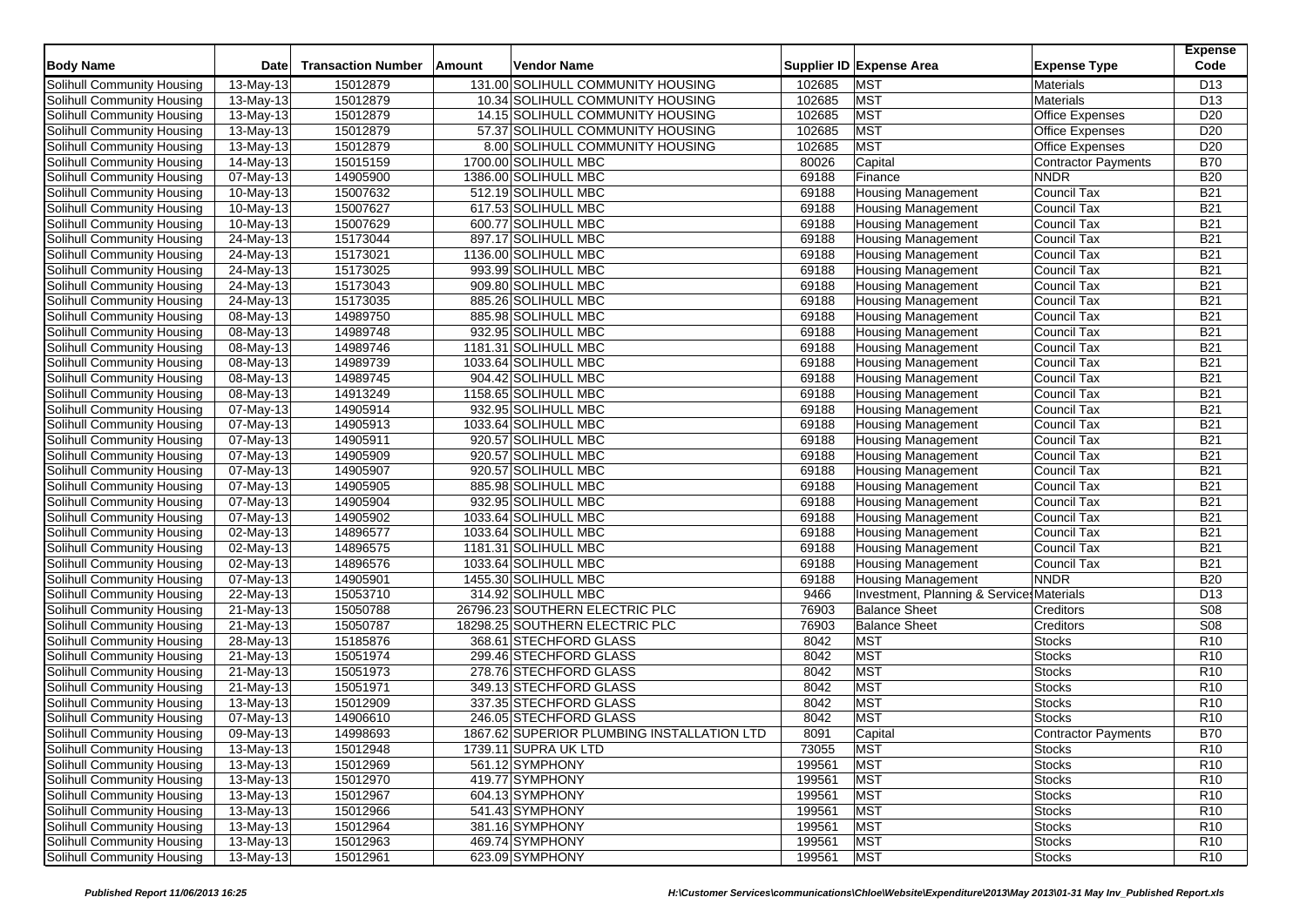| <b>Body Name</b>                  | <b>Date</b>             | <b>Transaction Number</b> | Amount | <b>Vendor Name</b>                         |        | Supplier ID Expense Area                 | <b>Expense Type</b>               | <b>Expense</b><br>Code |
|-----------------------------------|-------------------------|---------------------------|--------|--------------------------------------------|--------|------------------------------------------|-----------------------------------|------------------------|
| Solihull Community Housing        | 13-May-13               | 15012879                  |        | 131.00 SOLIHULL COMMUNITY HOUSING          | 102685 | <b>MST</b>                               | Materials                         | D <sub>13</sub>        |
| Solihull Community Housing        | $13$ -May-13            | 15012879                  |        | 10.34 SOLIHULL COMMUNITY HOUSING           | 102685 | MST                                      | <b>Materials</b>                  | D <sub>13</sub>        |
| Solihull Community Housing        | 13-May-13               | 15012879                  |        | 14.15 SOLIHULL COMMUNITY HOUSING           | 102685 | <b>MST</b>                               | <b>Office Expenses</b>            | D <sub>20</sub>        |
| Solihull Community Housing        | 13-May-13               | 15012879                  |        | 57.37 SOLIHULL COMMUNITY HOUSING           | 102685 | <b>MST</b>                               | <b>Office Expenses</b>            | D <sub>20</sub>        |
| Solihull Community Housing        | $13$ -May-13            | 15012879                  |        | 8.00 SOLIHULL COMMUNITY HOUSING            | 102685 | <b>MST</b>                               | <b>Office Expenses</b>            | D <sub>20</sub>        |
| Solihull Community Housing        | 14-May-13               | 15015159                  |        | 1700.00 SOLIHULL MBC                       | 80026  | Capital                                  | <b>Contractor Payments</b>        | <b>B70</b>             |
| Solihull Community Housing        | $\overline{07}$ -May-13 | 14905900                  |        | 1386.00 SOLIHULL MBC                       | 69188  | Finance                                  | <b>NNDR</b>                       | <b>B20</b>             |
| Solihull Community Housing        | 10-May-13               | 15007632                  |        | 512.19 SOLIHULL MBC                        | 69188  | <b>Housing Management</b>                | <b>Council Tax</b>                | <b>B21</b>             |
| Solihull Community Housing        | 10-May-13               | 15007627                  |        | 617.53 SOLIHULL MBC                        | 69188  | <b>Housing Management</b>                | Council Tax                       | <b>B21</b>             |
| Solihull Community Housing        | $10$ -May-13            | 15007629                  |        | 600.77 SOLIHULL MBC                        | 69188  | <b>Housing Management</b>                | Council Tax                       | <b>B21</b>             |
| Solihull Community Housing        | 24-May-13               | 15173044                  |        | 897.17 SOLIHULL MBC                        | 69188  | <b>Housing Management</b>                | <b>Council Tax</b>                | <b>B21</b>             |
| Solihull Community Housing        | 24-May-13               | 15173021                  |        | 1136.00 SOLIHULL MBC                       | 69188  | <b>Housing Management</b>                | Council Tax                       | <b>B21</b>             |
| <b>Solihull Community Housing</b> | 24-May-13               | 15173025                  |        | 993.99 SOLIHULL MBC                        | 69188  | <b>Housing Management</b>                | Council Tax                       | <b>B21</b>             |
| Solihull Community Housing        | 24-May-13               | 15173043                  |        | 909.80 SOLIHULL MBC                        | 69188  | <b>Housing Management</b>                | Council Tax                       | <b>B21</b>             |
| Solihull Community Housing        | 24-May-13               | 15173035                  |        | 885.26 SOLIHULL MBC                        | 69188  | <b>Housing Management</b>                | <b>Council Tax</b>                | <b>B21</b>             |
| Solihull Community Housing        | 08-May-13               | 14989750                  |        | 885.98 SOLIHULL MBC                        | 69188  | <b>Housing Management</b>                | Council Tax                       | <b>B21</b>             |
| Solihull Community Housing        |                         | 14989748                  |        | 932.95 SOLIHULL MBC                        | 69188  | <b>Housing Management</b>                | Council Tax                       | <b>B21</b>             |
| Solihull Community Housing        | 08-May-13               | 14989746                  |        | 1181.31 SOLIHULL MBC                       | 69188  |                                          | Council Tax                       | <b>B21</b>             |
| Solihull Community Housing        | 08-May-13               |                           |        |                                            |        | <b>Housing Management</b>                |                                   | <b>B21</b>             |
|                                   | 08-May-13               | 14989739                  |        | 1033.64 SOLIHULL MBC                       | 69188  | <b>Housing Management</b>                | Council Tax<br><b>Council Tax</b> | <b>B21</b>             |
| Solihull Community Housing        | 08-May-13               | 14989745                  |        | 904.42 SOLIHULL MBC                        | 69188  | <b>Housing Management</b>                |                                   |                        |
| Solihull Community Housing        | 08-May-13               | 14913249                  |        | 1158.65 SOLIHULL MBC                       | 69188  | <b>Housing Management</b>                | Council Tax                       | <b>B21</b>             |
| Solihull Community Housing        | 07-May-13               | 14905914                  |        | 932.95 SOLIHULL MBC                        | 69188  | <b>Housing Management</b>                | Council Tax                       | <b>B21</b>             |
| Solihull Community Housing        | 07-May-13               | 14905913                  |        | 1033.64 SOLIHULL MBC                       | 69188  | <b>Housing Management</b>                | <b>Council Tax</b>                | <b>B21</b>             |
| Solihull Community Housing        | 07-May-13               | 14905911                  |        | 920.57 SOLIHULL MBC                        | 69188  | Housing Management                       | Council Tax                       | <b>B21</b>             |
| Solihull Community Housing        | 07-May-13               | 14905909                  |        | 920.57 SOLIHULL MBC                        | 69188  | <b>Housing Management</b>                | Council Tax                       | <b>B21</b>             |
| Solihull Community Housing        | 07-May-13               | 14905907                  |        | 920.57 SOLIHULL MBC                        | 69188  | <b>Housing Management</b>                | <b>Council Tax</b>                | <b>B21</b>             |
| Solihull Community Housing        | $\overline{07}$ -May-13 | 14905905                  |        | 885.98 SOLIHULL MBC                        | 69188  | <b>Housing Management</b>                | Council Tax                       | <b>B21</b>             |
| Solihull Community Housing        | 07-May-13               | 14905904                  |        | 932.95 SOLIHULL MBC                        | 69188  | <b>Housing Management</b>                | Council Tax                       | <b>B21</b>             |
| Solihull Community Housing        | 07-May-13               | 14905902                  |        | 1033.64 SOLIHULL MBC                       | 69188  | <b>Housing Management</b>                | Council Tax                       | <b>B21</b>             |
| Solihull Community Housing        | 02-May-13               | 14896577                  |        | 1033.64 SOLIHULL MBC                       | 69188  | <b>Housing Management</b>                | Council Tax                       | <b>B21</b>             |
| Solihull Community Housing        | 02-May-13               | 14896575                  |        | 1181.31 SOLIHULL MBC                       | 69188  | Housing Management                       | <b>Council Tax</b>                | <b>B21</b>             |
| Solihull Community Housing        | 02-May-13               | 14896576                  |        | 1033.64 SOLIHULL MBC                       | 69188  | <b>Housing Management</b>                | Council Tax                       | <b>B21</b>             |
| Solihull Community Housing        | 07-May-13               | 14905901                  |        | 1455.30 SOLIHULL MBC                       | 69188  | <b>Housing Management</b>                | <b>NNDR</b>                       | <b>B20</b>             |
| Solihull Community Housing        | 22-May-13               | 15053710                  |        | 314.92 SOLIHULL MBC                        | 9466   | Investment, Planning & Service Materials |                                   | D <sub>13</sub>        |
| Solihull Community Housing        | 21-May-13               | 15050788                  |        | 26796.23 SOUTHERN ELECTRIC PLC             | 76903  | <b>Balance Sheet</b>                     | Creditors                         | <b>S08</b>             |
| Solihull Community Housing        | 21-May-13               | 15050787                  |        | 18298.25 SOUTHERN ELECTRIC PLC             | 76903  | <b>Balance Sheet</b>                     | Creditors                         | S <sub>08</sub>        |
| Solihull Community Housing        | 28-May-13               | 15185876                  |        | 368.61 STECHFORD GLASS                     | 8042   | <b>MST</b>                               | <b>Stocks</b>                     | R <sub>10</sub>        |
| Solihull Community Housing        | 21-May-13               | 15051974                  |        | 299.46 STECHFORD GLASS                     | 8042   | <b>MST</b>                               | Stocks                            | R <sub>10</sub>        |
| Solihull Community Housing        | 21-May-13               | 15051973                  |        | 278.76 STECHFORD GLASS                     | 8042   | <b>MST</b>                               | <b>Stocks</b>                     | R <sub>10</sub>        |
| Solihull Community Housing        | 21-May-13               | 15051971                  |        | 349.13 STECHFORD GLASS                     | 8042   | <b>MST</b>                               | <b>Stocks</b>                     | R <sub>10</sub>        |
| Solihull Community Housing        | 13-May-13               | 15012909                  |        | 337.35 STECHFORD GLASS                     | 8042   | <b>MST</b>                               | <b>Stocks</b>                     | R <sub>10</sub>        |
| Solihull Community Housing        | $\overline{07}$ -May-13 | 14906610                  |        | 246.05 STECHFORD GLASS                     | 8042   | <b>MST</b>                               | <b>Stocks</b>                     | R <sub>10</sub>        |
| Solihull Community Housing        | 09-May-13               | 14998693                  |        | 1867.62 SUPERIOR PLUMBING INSTALLATION LTD | 8091   | Capital                                  | <b>Contractor Payments</b>        | <b>B70</b>             |
| Solihull Community Housing        | 13-May-13               | 15012948                  |        | 1739.11 SUPRA UK LTD                       | 73055  | <b>MST</b>                               | <b>Stocks</b>                     | R <sub>10</sub>        |
| Solihull Community Housing        | $13$ -May-13            | 15012969                  |        | 561.12 SYMPHONY                            | 199561 | <b>MST</b>                               | <b>Stocks</b>                     | R <sub>10</sub>        |
| Solihull Community Housing        | 13-May-13               | 15012970                  |        | 419.77 SYMPHONY                            | 199561 | <b>MST</b>                               | <b>Stocks</b>                     | R <sub>10</sub>        |
| Solihull Community Housing        | 13-May-13               | 15012967                  |        | 604.13 SYMPHONY                            | 199561 | MST                                      | <b>Stocks</b>                     | R10                    |
| Solihull Community Housing        | 13-May-13               | 15012966                  |        | 541.43 SYMPHONY                            | 199561 | <b>MST</b>                               | <b>Stocks</b>                     | R <sub>10</sub>        |
| Solihull Community Housing        | 13-May-13               | 15012964                  |        | 381.16 SYMPHONY                            | 199561 | <b>MST</b>                               | <b>Stocks</b>                     | R <sub>10</sub>        |
| <b>Solihull Community Housing</b> | 13-May-13               | 15012963                  |        | 469.74 SYMPHONY                            | 199561 | <b>MST</b>                               | <b>Stocks</b>                     | R <sub>10</sub>        |
| Solihull Community Housing        | 13-May-13               | 15012961                  |        | 623.09 SYMPHONY                            | 199561 | MST                                      | <b>Stocks</b>                     | R <sub>10</sub>        |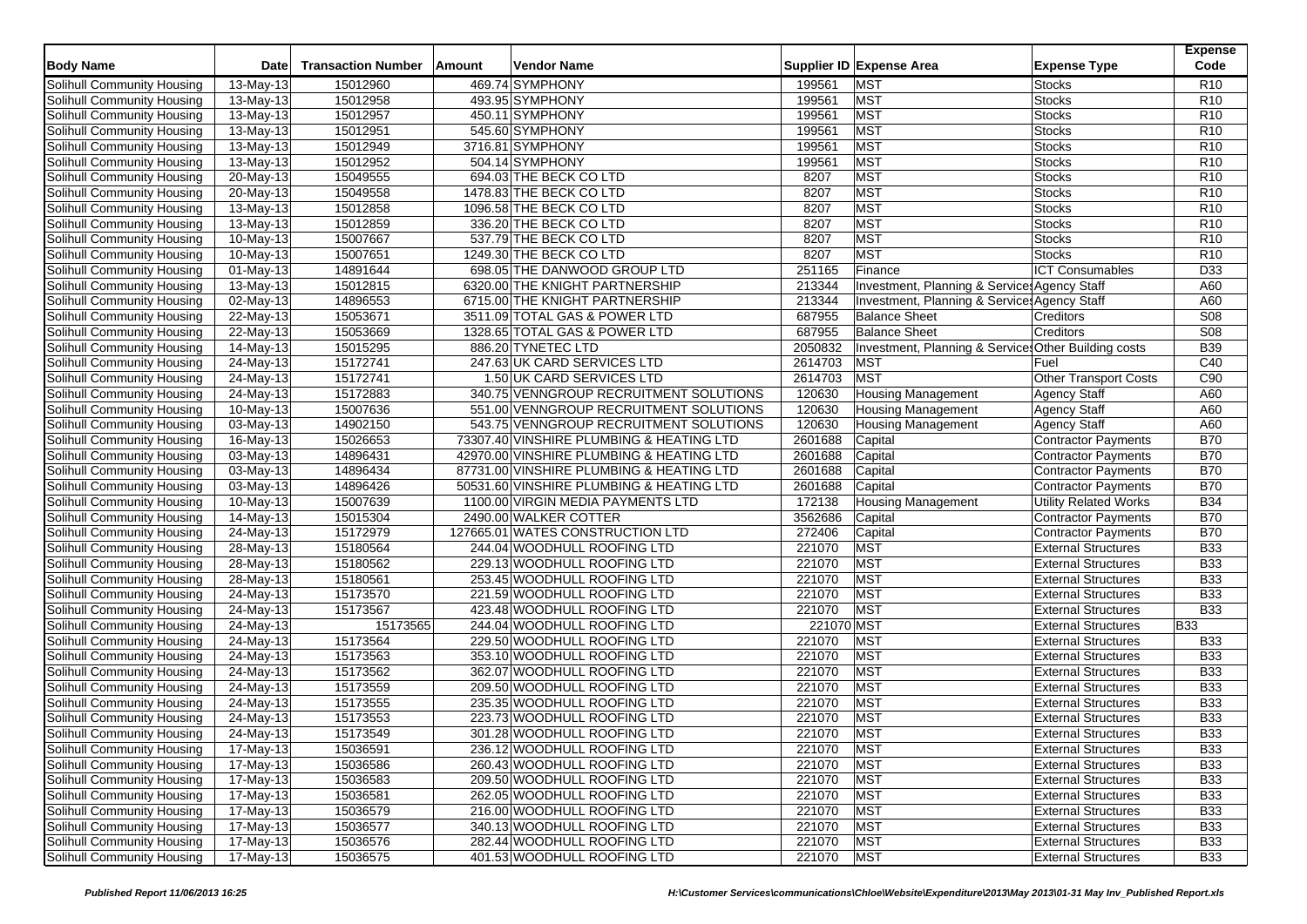| <b>Body Name</b>           | <b>Date</b>             | <b>Transaction Number</b> | Amount | <b>Vendor Name</b>                       |            | Supplier ID Expense Area                             | <b>Expense Type</b>          | <b>Expense</b><br>Code |
|----------------------------|-------------------------|---------------------------|--------|------------------------------------------|------------|------------------------------------------------------|------------------------------|------------------------|
| Solihull Community Housing | 13-May-13               | 15012960                  |        | 469.74 SYMPHONY                          | 199561     | <b>MST</b>                                           | <b>Stocks</b>                | R <sub>10</sub>        |
| Solihull Community Housing | 13-May-13               | 15012958                  |        | 493.95 SYMPHONY                          | 199561     | <b>MST</b>                                           | <b>Stocks</b>                | R <sub>10</sub>        |
| Solihull Community Housing | 13-May-13               | 15012957                  |        | 450.11 SYMPHONY                          | 199561     | <b>MST</b>                                           | <b>Stocks</b>                | R <sub>10</sub>        |
| Solihull Community Housing | 13-May-13               | 15012951                  |        | 545.60 SYMPHONY                          | 199561     | <b>MST</b>                                           | <b>Stocks</b>                | R <sub>10</sub>        |
| Solihull Community Housing | 13-May-13               | 15012949                  |        | 3716.81 SYMPHONY                         | 199561     | <b>MST</b>                                           | <b>Stocks</b>                | R <sub>10</sub>        |
| Solihull Community Housing | 13-May-13               | 15012952                  |        | 504.14 SYMPHONY                          | 199561     | <b>MST</b>                                           | <b>Stocks</b>                | R <sub>10</sub>        |
| Solihull Community Housing | $\overline{20}$ -May-13 | 15049555                  |        | 694.03 THE BECK CO LTD                   | 8207       | <b>MST</b>                                           | <b>Stocks</b>                | R <sub>10</sub>        |
| Solihull Community Housing | 20-May-13               | 15049558                  |        | 1478.83 THE BECK CO LTD                  | 8207       | <b>MST</b>                                           | <b>Stocks</b>                | R <sub>10</sub>        |
| Solihull Community Housing | 13-May-13               | 15012858                  |        | 1096.58 THE BECK CO LTD                  | 8207       | <b>MST</b>                                           | <b>Stocks</b>                | R <sub>10</sub>        |
| Solihull Community Housing | 13-May-13               | 15012859                  |        | 336.20 THE BECK CO LTD                   | 8207       | <b>MST</b>                                           | <b>Stocks</b>                | R <sub>10</sub>        |
| Solihull Community Housing | 10-May-13               | 15007667                  |        | 537.79 THE BECK CO LTD                   | 8207       | <b>MST</b>                                           | <b>Stocks</b>                | R <sub>10</sub>        |
| Solihull Community Housing | 10-May-13               | 15007651                  |        | 1249.30 THE BECK CO LTD                  | 8207       | <b>MST</b>                                           | <b>Stocks</b>                | R <sub>10</sub>        |
| Solihull Community Housing | 01-May-13               | 14891644                  |        | 698.05 THE DANWOOD GROUP LTD             | 251165     | Finance                                              | <b>ICT Consumables</b>       | D33                    |
| Solihull Community Housing | 13-May-13               | 15012815                  |        | 6320.00 THE KNIGHT PARTNERSHIP           | 213344     | Investment, Planning & Services Agency Staff         |                              | A60                    |
| Solihull Community Housing | 02-May-13               | 14896553                  |        | 6715.00 THE KNIGHT PARTNERSHIP           | 213344     | Investment, Planning & Service Agency Staff          |                              | A60                    |
| Solihull Community Housing | 22-May-13               | 15053671                  |        | 3511.09 TOTAL GAS & POWER LTD            | 687955     | <b>Balance Sheet</b>                                 | Creditors                    | S <sub>08</sub>        |
| Solihull Community Housing | 22-May-13               | 15053669                  |        | 1328.65 TOTAL GAS & POWER LTD            | 687955     | <b>Balance Sheet</b>                                 | Creditors                    | <b>S08</b>             |
| Solihull Community Housing | $\overline{1}$ 4-May-13 | 15015295                  |        | 886.20 TYNETEC LTD                       | 2050832    | Investment, Planning & Service: Other Building costs |                              | <b>B39</b>             |
| Solihull Community Housing | 24-May-13               | 15172741                  |        | 247.63 UK CARD SERVICES LTD              | 2614703    | <b>MST</b>                                           | Fuel                         | C40                    |
| Solihull Community Housing | 24-May-13               | 15172741                  |        | 1.50 UK CARD SERVICES LTD                | 2614703    | <b>MST</b>                                           | <b>Other Transport Costs</b> | C90                    |
| Solihull Community Housing | 24-May-13               | 15172883                  |        | 340.75 VENNGROUP RECRUITMENT SOLUTIONS   | 120630     | <b>Housing Management</b>                            | <b>Agency Staff</b>          | A60                    |
| Solihull Community Housing | 10-May-13               | 15007636                  |        | 551.00 VENNGROUP RECRUITMENT SOLUTIONS   | 120630     | <b>Housing Management</b>                            | <b>Agency Staff</b>          | A60                    |
| Solihull Community Housing | 03-May-13               | 14902150                  |        | 543.75 VENNGROUP RECRUITMENT SOLUTIONS   | 120630     | <b>Housing Management</b>                            | <b>Agency Staff</b>          | A60                    |
| Solihull Community Housing |                         | 15026653                  |        | 73307.40 VINSHIRE PLUMBING & HEATING LTD | 2601688    | Capital                                              | Contractor Payments          | <b>B70</b>             |
| Solihull Community Housing | 16-May-13<br>03-May-13  | 14896431                  |        | 42970.00 VINSHIRE PLUMBING & HEATING LTD | 2601688    | Capital                                              | <b>Contractor Payments</b>   | <b>B70</b>             |
| Solihull Community Housing | 03-May-13               | 14896434                  |        | 87731.00 VINSHIRE PLUMBING & HEATING LTD | 2601688    | Capital                                              | Contractor Payments          | <b>B70</b>             |
| Solihull Community Housing | 03-May-13               | 14896426                  |        | 50531.60 VINSHIRE PLUMBING & HEATING LTD | 2601688    | Capital                                              | <b>Contractor Payments</b>   | <b>B70</b>             |
| Solihull Community Housing | 10-May-13               | 15007639                  |        | 1100.00 VIRGIN MEDIA PAYMENTS LTD        | 172138     | <b>Housing Management</b>                            | <b>Utility Related Works</b> | <b>B34</b>             |
| Solihull Community Housing | 14-May-13               | 15015304                  |        | 2490.00 WALKER COTTER                    | 3562686    | Capital                                              | <b>Contractor Payments</b>   | <b>B70</b>             |
| Solihull Community Housing | $\overline{24}$ -May-13 | 15172979                  |        | 127665.01 WATES CONSTRUCTION LTD         | 272406     | Capital                                              | <b>Contractor Payments</b>   | <b>B70</b>             |
| Solihull Community Housing | 28-May-13               | 15180564                  |        | 244.04 WOODHULL ROOFING LTD              | 221070     | <b>MST</b>                                           | <b>External Structures</b>   | <b>B33</b>             |
| Solihull Community Housing | 28-May-13               | 15180562                  |        | 229.13 WOODHULL ROOFING LTD              | 221070     | <b>MST</b>                                           | <b>External Structures</b>   | <b>B33</b>             |
| Solihull Community Housing | 28-May-13               | 15180561                  |        | 253.45 WOODHULL ROOFING LTD              | 221070     | <b>MST</b>                                           | <b>External Structures</b>   | <b>B33</b>             |
| Solihull Community Housing | 24-May-13               | 15173570                  |        | 221.59 WOODHULL ROOFING LTD              | 221070     | <b>MST</b>                                           | <b>External Structures</b>   | <b>B33</b>             |
| Solihull Community Housing | 24-May-13               | 15173567                  |        | 423.48 WOODHULL ROOFING LTD              | 221070     | <b>MST</b>                                           | <b>External Structures</b>   | <b>B33</b>             |
| Solihull Community Housing | 24-May-13               | 15173565                  |        | 244.04 WOODHULL ROOFING LTD              | 221070 MST |                                                      | <b>External Structures</b>   | <b>B</b> 33            |
| Solihull Community Housing | 24-May-13               | 15173564                  |        | 229.50 WOODHULL ROOFING LTD              | 221070     | MST                                                  | <b>External Structures</b>   | <b>B33</b>             |
| Solihull Community Housing | 24-May-13               | 15173563                  |        | 353.10 WOODHULL ROOFING LTD              | 221070     | <b>MST</b>                                           | <b>External Structures</b>   | <b>B33</b>             |
| Solihull Community Housing | 24-May-13               | 15173562                  |        | 362.07 WOODHULL ROOFING LTD              | 221070     | <b>MST</b>                                           | <b>External Structures</b>   | <b>B33</b>             |
| Solihull Community Housing | 24-May-13               | 15173559                  |        | 209.50 WOODHULL ROOFING LTD              | 221070     | MST                                                  | <b>External Structures</b>   | <b>B33</b>             |
| Solihull Community Housing | 24-May-13               | 15173555                  |        | 235.35 WOODHULL ROOFING LTD              | 221070     | <b>MST</b>                                           | <b>External Structures</b>   | <b>B33</b>             |
| Solihull Community Housing | 24-May-13               | 15173553                  |        | 223.73 WOODHULL ROOFING LTD              | 221070     | <b>MST</b>                                           | <b>External Structures</b>   | <b>B33</b>             |
| Solihull Community Housing | 24-May-13               | 15173549                  |        | 301.28 WOODHULL ROOFING LTD              | 221070     | <b>MST</b>                                           | <b>External Structures</b>   | <b>B33</b>             |
| Solihull Community Housing | 17-May-13               | 15036591                  |        | 236.12 WOODHULL ROOFING LTD              | 221070 MST |                                                      | <b>External Structures</b>   | <b>B33</b>             |
| Solihull Community Housing | 17-May-13               | 15036586                  |        | 260.43 WOODHULL ROOFING LTD              | 221070     | <b>MST</b>                                           | <b>External Structures</b>   | <b>B33</b>             |
| Solihull Community Housing | 17-May-13               | 15036583                  |        | 209.50 WOODHULL ROOFING LTD              | 221070     | <b>MST</b>                                           | <b>External Structures</b>   | <b>B33</b>             |
| Solihull Community Housing | 17-May-13               | 15036581                  |        | 262.05 WOODHULL ROOFING LTD              | 221070     | MST                                                  | <b>External Structures</b>   | <b>B33</b>             |
| Solihull Community Housing | 17-May-13               | 15036579                  |        | 216.00 WOODHULL ROOFING LTD              | 221070     | MST                                                  | <b>External Structures</b>   | <b>B33</b>             |
| Solihull Community Housing | 17-May-13               | 15036577                  |        | 340.13 WOODHULL ROOFING LTD              | 221070     | <b>MST</b>                                           | <b>External Structures</b>   | <b>B33</b>             |
| Solihull Community Housing | 17-May-13               | 15036576                  |        | 282.44 WOODHULL ROOFING LTD              | 221070     | MST                                                  | <b>External Structures</b>   | <b>B33</b>             |
| Solihull Community Housing | $\overline{17}$ -May-13 | 15036575                  |        | 401.53 WOODHULL ROOFING LTD              | 221070     | <b>MST</b>                                           | <b>External Structures</b>   | <b>B33</b>             |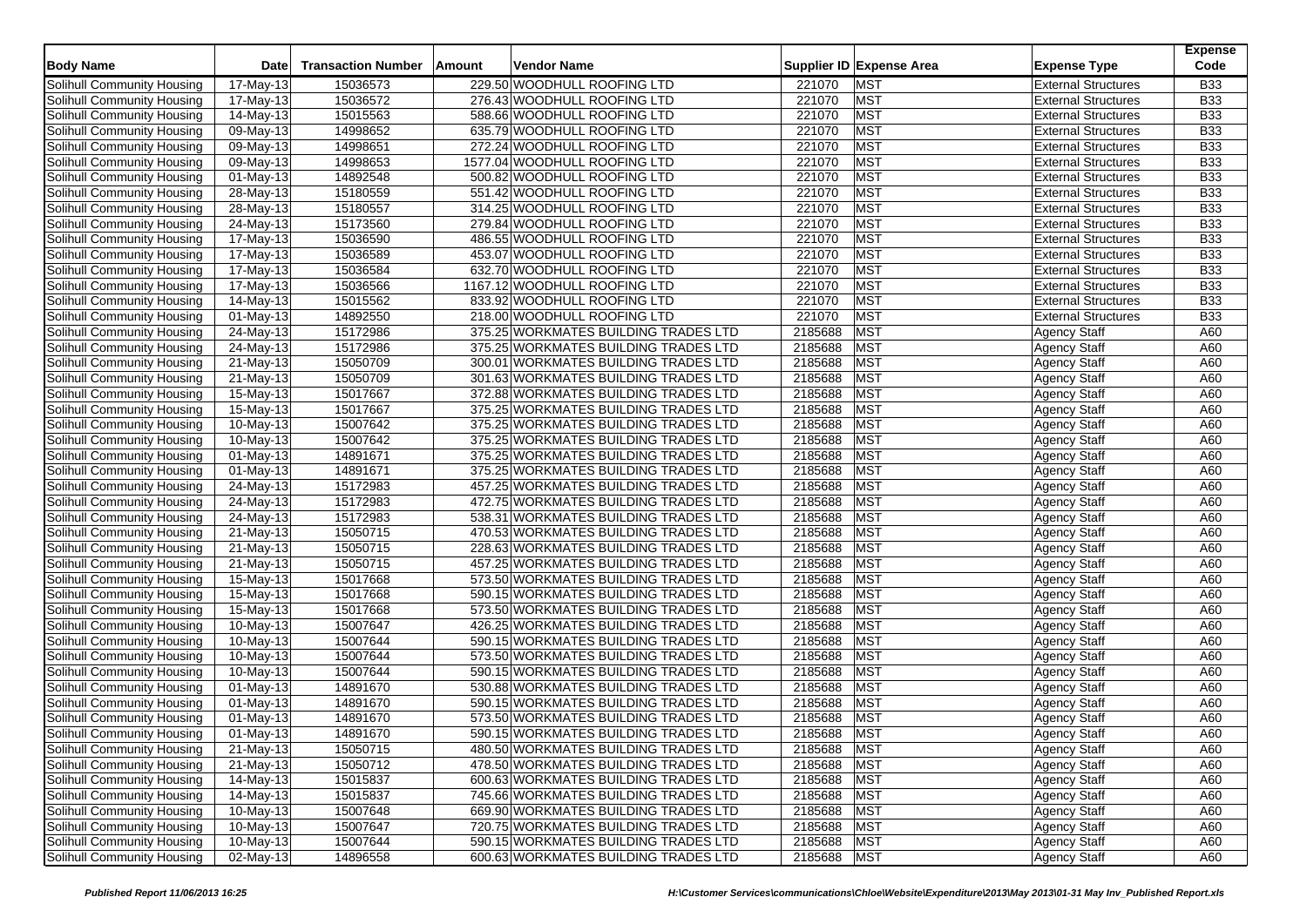| <b>Transaction Number</b><br><b>Body Name</b><br>Amount<br>Vendor Name<br>Supplier ID Expense Area<br><b>Expense Type</b><br>229.50 WOODHULL ROOFING LTD<br><b>MST</b><br>Solihull Community Housing<br>17-May-13<br>15036573<br>221070<br><b>External Structures</b><br><b>MST</b><br>15036572<br>276.43 WOODHULL ROOFING LTD<br>221070<br>Solihull Community Housing<br><b>External Structures</b><br>17-May-13<br><b>MST</b><br>15015563<br>221070<br>588.66 WOODHULL ROOFING LTD<br><b>External Structures</b><br>Solihull Community Housing<br>14-May-13<br>MST<br>635.79 WOODHULL ROOFING LTD<br>221070<br>Solihull Community Housing<br>14998652<br><b>External Structures</b><br>09-May-13<br><b>MST</b><br>14998651<br>272.24 WOODHULL ROOFING LTD<br>221070<br>Solihull Community Housing<br><b>External Structures</b><br>09-May-13 | Code<br><b>B33</b><br><b>B33</b><br><b>B33</b><br><b>B33</b><br><b>B33</b><br><b>B33</b><br><b>B33</b><br><b>B33</b><br><b>B33</b><br><b>B33</b> |
|------------------------------------------------------------------------------------------------------------------------------------------------------------------------------------------------------------------------------------------------------------------------------------------------------------------------------------------------------------------------------------------------------------------------------------------------------------------------------------------------------------------------------------------------------------------------------------------------------------------------------------------------------------------------------------------------------------------------------------------------------------------------------------------------------------------------------------------------|--------------------------------------------------------------------------------------------------------------------------------------------------|
|                                                                                                                                                                                                                                                                                                                                                                                                                                                                                                                                                                                                                                                                                                                                                                                                                                                |                                                                                                                                                  |
|                                                                                                                                                                                                                                                                                                                                                                                                                                                                                                                                                                                                                                                                                                                                                                                                                                                |                                                                                                                                                  |
|                                                                                                                                                                                                                                                                                                                                                                                                                                                                                                                                                                                                                                                                                                                                                                                                                                                |                                                                                                                                                  |
|                                                                                                                                                                                                                                                                                                                                                                                                                                                                                                                                                                                                                                                                                                                                                                                                                                                |                                                                                                                                                  |
|                                                                                                                                                                                                                                                                                                                                                                                                                                                                                                                                                                                                                                                                                                                                                                                                                                                |                                                                                                                                                  |
| MST<br>14998653<br>221070<br><b>External Structures</b><br>Solihull Community Housing<br>1577.04 WOODHULL ROOFING LTD<br>09-May-13                                                                                                                                                                                                                                                                                                                                                                                                                                                                                                                                                                                                                                                                                                             |                                                                                                                                                  |
| MST<br>500.82 WOODHULL ROOFING LTD<br>221070<br>Solihull Community Housing<br>14892548<br><b>External Structures</b><br>01-May-13                                                                                                                                                                                                                                                                                                                                                                                                                                                                                                                                                                                                                                                                                                              |                                                                                                                                                  |
| <b>MST</b><br>551.42 WOODHULL ROOFING LTD<br>221070<br>15180559<br><b>External Structures</b><br>Solihull Community Housing<br>28-May-13                                                                                                                                                                                                                                                                                                                                                                                                                                                                                                                                                                                                                                                                                                       |                                                                                                                                                  |
| <b>MST</b><br>15180557<br>221070<br>Solihull Community Housing<br>314.25 WOODHULL ROOFING LTD<br><b>External Structures</b><br>28-May-13                                                                                                                                                                                                                                                                                                                                                                                                                                                                                                                                                                                                                                                                                                       |                                                                                                                                                  |
| MST<br>279.84 WOODHULL ROOFING LTD<br>221070<br>Solihull Community Housing<br>15173560<br><b>External Structures</b><br>24-May-13                                                                                                                                                                                                                                                                                                                                                                                                                                                                                                                                                                                                                                                                                                              |                                                                                                                                                  |
| <b>MST</b><br>15036590<br>486.55 WOODHULL ROOFING LTD<br>221070<br>Solihull Community Housing<br><b>External Structures</b><br>17-May-13                                                                                                                                                                                                                                                                                                                                                                                                                                                                                                                                                                                                                                                                                                       | <b>B33</b>                                                                                                                                       |
| MST<br>15036589<br>453.07 WOODHULL ROOFING LTD<br>221070<br>Solihull Community Housing<br>$\overline{17}$ -May-13<br><b>External Structures</b>                                                                                                                                                                                                                                                                                                                                                                                                                                                                                                                                                                                                                                                                                                | <b>B33</b>                                                                                                                                       |
| 15036584<br>632.70 WOODHULL ROOFING LTD<br>221070<br><b>MST</b><br>Solihull Community Housing<br>17-May-13<br><b>External Structures</b>                                                                                                                                                                                                                                                                                                                                                                                                                                                                                                                                                                                                                                                                                                       | <b>B33</b>                                                                                                                                       |
| MST<br>15036566<br>1167.12 WOODHULL ROOFING LTD<br>221070<br>Solihull Community Housing<br><b>External Structures</b><br>17-May-13                                                                                                                                                                                                                                                                                                                                                                                                                                                                                                                                                                                                                                                                                                             | <b>B33</b>                                                                                                                                       |
| <b>MST</b><br>15015562<br>833.92 WOODHULL ROOFING LTD<br>221070<br>Solihull Community Housing<br><b>External Structures</b><br>14-May-13                                                                                                                                                                                                                                                                                                                                                                                                                                                                                                                                                                                                                                                                                                       | <b>B33</b>                                                                                                                                       |
| <b>MST</b><br>14892550<br>218.00 WOODHULL ROOFING LTD<br>221070<br><b>External Structures</b><br>Solihull Community Housing<br>01-May-13                                                                                                                                                                                                                                                                                                                                                                                                                                                                                                                                                                                                                                                                                                       | <b>B33</b>                                                                                                                                       |
| 2185688<br><b>MST</b><br>15172986<br>375.25 WORKMATES BUILDING TRADES LTD<br>Solihull Community Housing<br><b>Agency Staff</b><br>24-May-13                                                                                                                                                                                                                                                                                                                                                                                                                                                                                                                                                                                                                                                                                                    | A60                                                                                                                                              |
| 375.25 WORKMATES BUILDING TRADES LTD<br>2185688<br><b>MST</b><br>Solihull Community Housing<br>15172986<br><b>Agency Staff</b><br>24-May-13                                                                                                                                                                                                                                                                                                                                                                                                                                                                                                                                                                                                                                                                                                    | A60                                                                                                                                              |
| 2185688<br><b>MST</b><br>15050709<br>300.01 WORKMATES BUILDING TRADES LTD<br>Solihull Community Housing<br>21-May-13<br><b>Agency Staff</b>                                                                                                                                                                                                                                                                                                                                                                                                                                                                                                                                                                                                                                                                                                    | A60                                                                                                                                              |
| <b>MST</b><br>15050709<br>2185688<br>301.63 WORKMATES BUILDING TRADES LTD<br><b>Agency Staff</b><br>Solihull Community Housing<br>21-May-13                                                                                                                                                                                                                                                                                                                                                                                                                                                                                                                                                                                                                                                                                                    | A60                                                                                                                                              |
| 2185688<br><b>MST</b><br>15017667<br>Solihull Community Housing<br>372.88 WORKMATES BUILDING TRADES LTD<br><b>Agency Staff</b><br>15-May-13                                                                                                                                                                                                                                                                                                                                                                                                                                                                                                                                                                                                                                                                                                    | A60                                                                                                                                              |
| 15017667<br>2185688<br><b>MST</b><br>Solihull Community Housing<br>375.25 WORKMATES BUILDING TRADES LTD<br><b>Agency Staff</b><br>15-May-13                                                                                                                                                                                                                                                                                                                                                                                                                                                                                                                                                                                                                                                                                                    | A60                                                                                                                                              |
| <b>MST</b><br>15007642<br>375.25 WORKMATES BUILDING TRADES LTD<br>2185688<br>Solihull Community Housing<br><b>Agency Staff</b><br>10-May-13                                                                                                                                                                                                                                                                                                                                                                                                                                                                                                                                                                                                                                                                                                    | A60                                                                                                                                              |
| 2185688<br>MST<br>15007642<br>375.25 WORKMATES BUILDING TRADES LTD<br>Solihull Community Housing<br>10-May-13<br><b>Agency Staff</b>                                                                                                                                                                                                                                                                                                                                                                                                                                                                                                                                                                                                                                                                                                           | A60                                                                                                                                              |
| 14891671<br>375.25 WORKMATES BUILDING TRADES LTD<br>2185688<br><b>MST</b><br>Solihull Community Housing<br><b>Agency Staff</b><br>01-May-13                                                                                                                                                                                                                                                                                                                                                                                                                                                                                                                                                                                                                                                                                                    | A60                                                                                                                                              |
| <b>MST</b><br>14891671<br>2185688<br>Solihull Community Housing<br>375.25 WORKMATES BUILDING TRADES LTD<br><b>Agency Staff</b><br>01-May-13                                                                                                                                                                                                                                                                                                                                                                                                                                                                                                                                                                                                                                                                                                    | A60                                                                                                                                              |
| 2185688<br>15172983<br><b>MST</b><br>Solihull Community Housing<br>24-May-13<br>457.25 WORKMATES BUILDING TRADES LTD<br><b>Agency Staff</b>                                                                                                                                                                                                                                                                                                                                                                                                                                                                                                                                                                                                                                                                                                    | A60                                                                                                                                              |
| 15172983<br>472.75 WORKMATES BUILDING TRADES LTD<br>2185688<br><b>MST</b><br>Solihull Community Housing<br><b>Agency Staff</b><br>24-May-13                                                                                                                                                                                                                                                                                                                                                                                                                                                                                                                                                                                                                                                                                                    | A60                                                                                                                                              |
| <b>MST</b><br>15172983<br>2185688<br>538.31 WORKMATES BUILDING TRADES LTD<br><b>Agency Staff</b><br>Solihull Community Housing<br>24-May-13                                                                                                                                                                                                                                                                                                                                                                                                                                                                                                                                                                                                                                                                                                    | A60                                                                                                                                              |
| 2185688<br>MST<br>15050715<br>470.53 WORKMATES BUILDING TRADES LTD<br>Solihull Community Housing<br>21-May-13<br><b>Agency Staff</b>                                                                                                                                                                                                                                                                                                                                                                                                                                                                                                                                                                                                                                                                                                           | A60                                                                                                                                              |
| 2185688<br><b>MST</b><br>15050715<br>228.63 WORKMATES BUILDING TRADES LTD<br>Solihull Community Housing<br>21-May-13<br><b>Agency Staff</b>                                                                                                                                                                                                                                                                                                                                                                                                                                                                                                                                                                                                                                                                                                    | A60                                                                                                                                              |
| MST<br>15050715<br>2185688<br>457.25 WORKMATES BUILDING TRADES LTD<br><b>Agency Staff</b><br>Solihull Community Housing<br>21-May-13                                                                                                                                                                                                                                                                                                                                                                                                                                                                                                                                                                                                                                                                                                           | A60                                                                                                                                              |
| 2185688<br><b>MST</b><br>15017668<br>573.50 WORKMATES BUILDING TRADES LTD<br>Solihull Community Housing<br>15-May-13<br><b>Agency Staff</b>                                                                                                                                                                                                                                                                                                                                                                                                                                                                                                                                                                                                                                                                                                    | A60                                                                                                                                              |
| <b>MST</b><br>2185688<br>Solihull Community Housing<br>15017668<br>590.15 WORKMATES BUILDING TRADES LTD<br><b>Agency Staff</b><br>15-May-13                                                                                                                                                                                                                                                                                                                                                                                                                                                                                                                                                                                                                                                                                                    | A60                                                                                                                                              |
| MST<br>15017668<br>573.50 WORKMATES BUILDING TRADES LTD<br>2185688<br>Solihull Community Housing<br><b>Agency Staff</b><br>15-May-13                                                                                                                                                                                                                                                                                                                                                                                                                                                                                                                                                                                                                                                                                                           | A60                                                                                                                                              |
| 2185688<br>15007647<br><b>MST</b><br>10-May-13<br>426.25 WORKMATES BUILDING TRADES LTD<br><b>Agency Staff</b><br>Solihull Community Housing                                                                                                                                                                                                                                                                                                                                                                                                                                                                                                                                                                                                                                                                                                    | A60                                                                                                                                              |
| <b>MST</b><br>15007644<br>590.15 WORKMATES BUILDING TRADES LTD<br>2185688<br>Solihull Community Housing<br><b>Agency Staff</b><br>10-May-13                                                                                                                                                                                                                                                                                                                                                                                                                                                                                                                                                                                                                                                                                                    | A60                                                                                                                                              |
| MST<br>15007644<br>2185688<br>Solihull Community Housing<br>573.50 WORKMATES BUILDING TRADES LTD<br><b>Agency Staff</b><br>10-May-13                                                                                                                                                                                                                                                                                                                                                                                                                                                                                                                                                                                                                                                                                                           | A60                                                                                                                                              |
| 2185688<br>15007644<br>590.15 WORKMATES BUILDING TRADES LTD<br><b>MST</b><br>Solihull Community Housing<br>10-May-13<br><b>Agency Staff</b>                                                                                                                                                                                                                                                                                                                                                                                                                                                                                                                                                                                                                                                                                                    | A60                                                                                                                                              |
| <b>MST</b><br>2185688<br>Solihull Community Housing<br>14891670<br>530.88 WORKMATES BUILDING TRADES LTD<br><b>Agency Staff</b><br>01-May-13                                                                                                                                                                                                                                                                                                                                                                                                                                                                                                                                                                                                                                                                                                    | A60                                                                                                                                              |
| 14891670<br>2185688<br><b>MST</b><br>590.15 WORKMATES BUILDING TRADES LTD<br><b>Agency Staff</b><br>Solihull Community Housing<br>01-May-13                                                                                                                                                                                                                                                                                                                                                                                                                                                                                                                                                                                                                                                                                                    | A60                                                                                                                                              |
| 2185688<br><b>MST</b><br>14891670<br>573.50 WORKMATES BUILDING TRADES LTD<br>Solihull Community Housing<br>$\overline{01}$ -May-13<br><b>Agency Staff</b>                                                                                                                                                                                                                                                                                                                                                                                                                                                                                                                                                                                                                                                                                      | A60                                                                                                                                              |
| MST<br>2185688<br>Solihull Community Housing<br>14891670<br>590.15 WORKMATES BUILDING TRADES LTD<br>01-May-13<br><b>Agency Staff</b>                                                                                                                                                                                                                                                                                                                                                                                                                                                                                                                                                                                                                                                                                                           | A60                                                                                                                                              |
| Solihull Community Housing<br>21-May-13<br>15050715<br>480.50 WORKMATES BUILDING TRADES LTD<br>2185688 MST<br><b>Agency Staff</b>                                                                                                                                                                                                                                                                                                                                                                                                                                                                                                                                                                                                                                                                                                              | A60                                                                                                                                              |
| Solihull Community Housing<br>21-May-13<br>15050712<br>478.50 WORKMATES BUILDING TRADES LTD<br>2185688<br><b>MST</b><br><b>Agency Staff</b>                                                                                                                                                                                                                                                                                                                                                                                                                                                                                                                                                                                                                                                                                                    | A60                                                                                                                                              |
| Solihull Community Housing<br><b>MST</b><br>14-May-13<br>15015837<br>600.63 WORKMATES BUILDING TRADES LTD<br>2185688<br><b>Agency Staff</b>                                                                                                                                                                                                                                                                                                                                                                                                                                                                                                                                                                                                                                                                                                    | A60                                                                                                                                              |
| 15015837<br><b>MST</b><br>Solihull Community Housing<br>14-May-13<br>745.66 WORKMATES BUILDING TRADES LTD<br>2185688<br><b>Agency Staff</b>                                                                                                                                                                                                                                                                                                                                                                                                                                                                                                                                                                                                                                                                                                    | A60                                                                                                                                              |
| <b>MST</b><br>Solihull Community Housing<br>10-May-13<br>15007648<br>2185688<br>669.90 WORKMATES BUILDING TRADES LTD<br><b>Agency Staff</b>                                                                                                                                                                                                                                                                                                                                                                                                                                                                                                                                                                                                                                                                                                    | A60                                                                                                                                              |
| Solihull Community Housing<br><b>MST</b><br>10-May-13<br>15007647<br>720.75 WORKMATES BUILDING TRADES LTD<br>2185688<br><b>Agency Staff</b>                                                                                                                                                                                                                                                                                                                                                                                                                                                                                                                                                                                                                                                                                                    | A60                                                                                                                                              |
| <b>Solihull Community Housing</b><br>15007644<br>590.15 WORKMATES BUILDING TRADES LTD<br>2185688<br><b>MST</b><br><b>Agency Staff</b><br>10-May-13                                                                                                                                                                                                                                                                                                                                                                                                                                                                                                                                                                                                                                                                                             | A60                                                                                                                                              |
| Solihull Community Housing<br>02-May-13<br>14896558<br>600.63 WORKMATES BUILDING TRADES LTD<br>2185688<br><b>MST</b><br><b>Agency Staff</b>                                                                                                                                                                                                                                                                                                                                                                                                                                                                                                                                                                                                                                                                                                    | A60                                                                                                                                              |